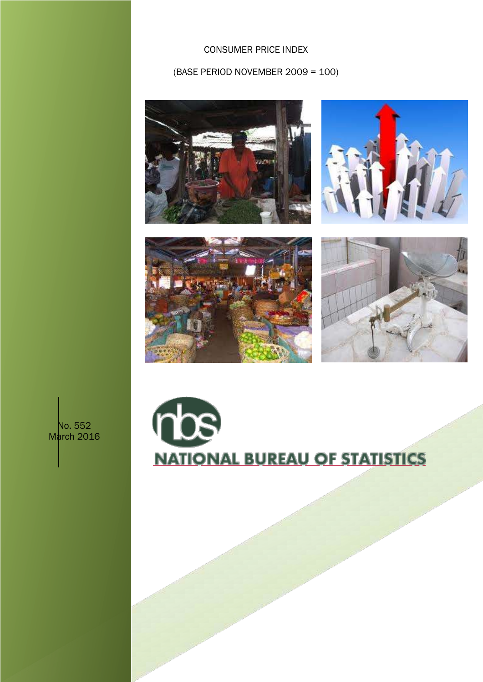CONSUMER PRICE INDEX

(BASE PERIOD NOVEMBER 2009 = 100)









No. 552 March 2016

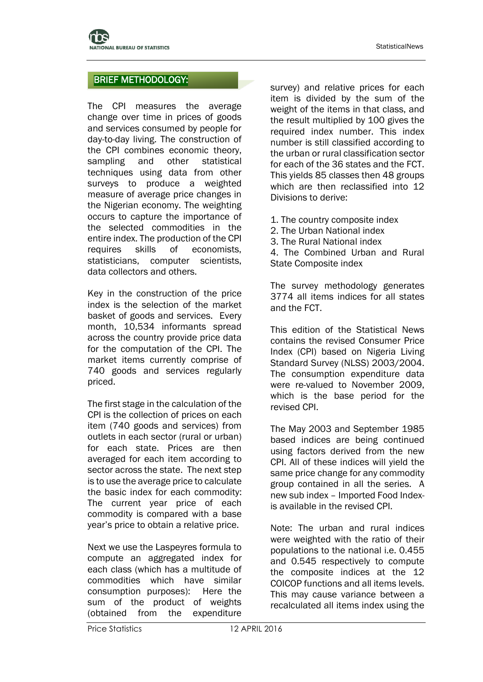# BRIEF METHODOLOGY:

The CPI measures the average change over time in prices of goods and services consumed by people for day-to-day living. The construction of the CPI combines economic theory, sampling and other statistical techniques using data from other surveys to produce a weighted measure of average price changes in the Nigerian economy. The weighting occurs to capture the importance of the selected commodities in the entire index. The production of the CPI requires skills of economists, statisticians, computer scientists, data collectors and others.

Key in the construction of the price index is the selection of the market basket of goods and services. Every month, 10,534 informants spread across the country provide price data for the computation of the CPI. The market items currently comprise of 740 goods and services regularly priced.

The first stage in the calculation of the CPI is the collection of prices on each item (740 goods and services) from outlets in each sector (rural or urban) for each state. Prices are then averaged for each item according to sector across the state. The next step is to use the average price to calculate the basic index for each commodity: The current year price of each commodity is compared with a base year's price to obtain a relative price.

Next we use the Laspeyres formula to compute an aggregated index for each class (which has a multitude of commodities which have similar consumption purposes): Here the sum of the product of weights (obtained from the expenditure

survey) and relative prices for each item is divided by the sum of the weight of the items in that class, and the result multiplied by 100 gives the required index number. This index number is still classified according to the urban or rural classification sector for each of the 36 states and the FCT. This yields 85 classes then 48 groups which are then reclassified into 12 Divisions to derive:

1. The country composite index

2. The Urban National index

3. The Rural National index

4. The Combined Urban and Rural State Composite index

The survey methodology generates 3774 all items indices for all states and the FCT.

This edition of the Statistical News contains the revised Consumer Price Index (CPI) based on Nigeria Living Standard Survey (NLSS) 2003/2004. The consumption expenditure data were re-valued to November 2009, which is the base period for the revised CPI.

The May 2003 and September 1985 based indices are being continued using factors derived from the new CPI. All of these indices will yield the same price change for any commodity group contained in all the series. A new sub index – Imported Food Indexis available in the revised CPI.

Note: The urban and rural indices were weighted with the ratio of their populations to the national i.e. 0.455 and 0.545 respectively to compute the composite indices at the 12 COICOP functions and all items levels. This may cause variance between a recalculated all items index using the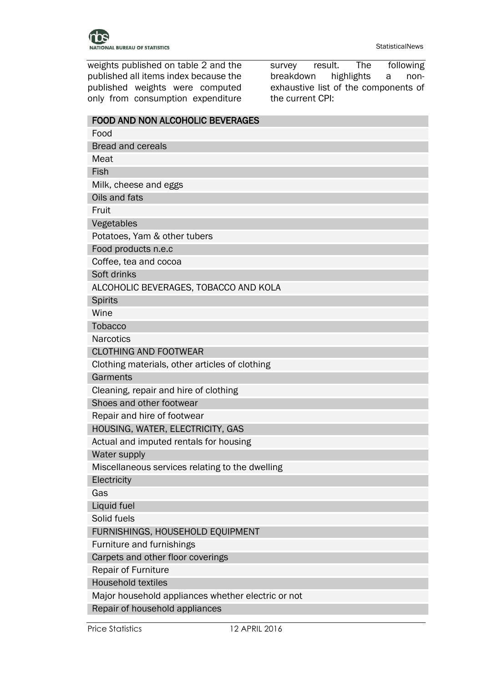weights published on table 2 and the published all items index because the published weights were computed only from consumption expenditure survey result. The following breakdown highlights a nonexhaustive list of the components of the current CPI:

| <b>FOOD AND NON ALCOHOLIC BEVERAGES</b>            |
|----------------------------------------------------|
| Food                                               |
| <b>Bread and cereals</b>                           |
| Meat                                               |
| Fish                                               |
| Milk, cheese and eggs                              |
| Oils and fats                                      |
| Fruit                                              |
| Vegetables                                         |
| Potatoes, Yam & other tubers                       |
| Food products n.e.c                                |
| Coffee, tea and cocoa                              |
| Soft drinks                                        |
| ALCOHOLIC BEVERAGES, TOBACCO AND KOLA              |
| <b>Spirits</b>                                     |
| Wine                                               |
| <b>Tobacco</b>                                     |
| <b>Narcotics</b>                                   |
| <b>CLOTHING AND FOOTWEAR</b>                       |
| Clothing materials, other articles of clothing     |
| Garments                                           |
| Cleaning, repair and hire of clothing              |
| Shoes and other footwear                           |
| Repair and hire of footwear                        |
| HOUSING, WATER, ELECTRICITY, GAS                   |
| Actual and imputed rentals for housing             |
| Water supply                                       |
| Miscellaneous services relating to the dwelling    |
| Electricity                                        |
| Gas                                                |
| Liquid fuel                                        |
| Solid fuels                                        |
| FURNISHINGS, HOUSEHOLD EQUIPMENT                   |
| Furniture and furnishings                          |
| Carpets and other floor coverings                  |
| Repair of Furniture                                |
| <b>Household textiles</b>                          |
| Major household appliances whether electric or not |
| Repair of household appliances                     |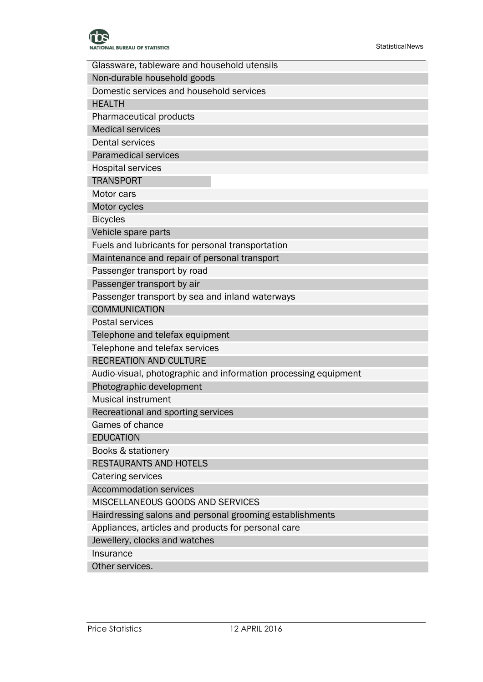

| Glassware, tableware and household utensils                     |
|-----------------------------------------------------------------|
| Non-durable household goods                                     |
| Domestic services and household services                        |
| <b>HEALTH</b>                                                   |
| Pharmaceutical products                                         |
| <b>Medical services</b>                                         |
| <b>Dental services</b>                                          |
| <b>Paramedical services</b>                                     |
| <b>Hospital services</b>                                        |
| <b>TRANSPORT</b>                                                |
| Motor cars                                                      |
| Motor cycles                                                    |
| <b>Bicycles</b>                                                 |
| Vehicle spare parts                                             |
| Fuels and lubricants for personal transportation                |
| Maintenance and repair of personal transport                    |
| Passenger transport by road                                     |
| Passenger transport by air                                      |
| Passenger transport by sea and inland waterways                 |
| <b>COMMUNICATION</b>                                            |
| <b>Postal services</b>                                          |
| Telephone and telefax equipment                                 |
| Telephone and telefax services                                  |
| <b>RECREATION AND CULTURE</b>                                   |
| Audio-visual, photographic and information processing equipment |
| Photographic development                                        |
| <b>Musical instrument</b>                                       |
| Recreational and sporting services                              |
| Games of chance                                                 |
| <b>EDUCATION</b>                                                |
| Books & stationery                                              |
| RESTAURANTS AND HOTELS                                          |
| Catering services                                               |
| <b>Accommodation services</b>                                   |
| MISCELLANEOUS GOODS AND SERVICES                                |
| Hairdressing salons and personal grooming establishments        |
| Appliances, articles and products for personal care             |
| Jewellery, clocks and watches                                   |
| Insurance                                                       |
| Other services.                                                 |
|                                                                 |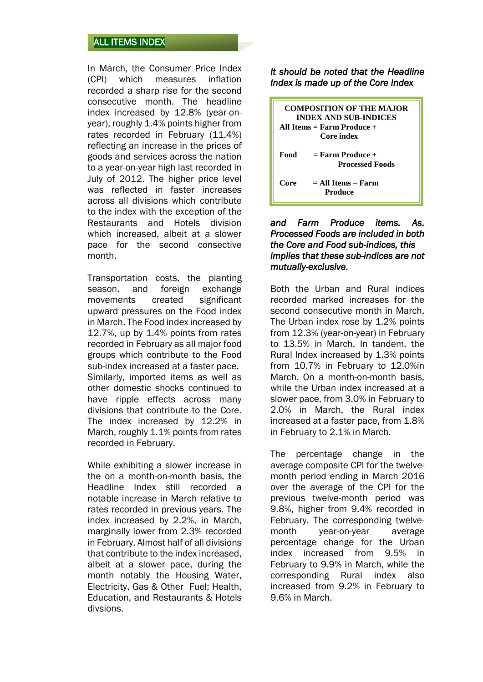# ALL ITEMS INDEX

In March, the Consumer Price Index (CPI) which measures inflation recorded a sharp rise for the second consecutive month. The headline index increased by 12.8% (year-onyear), roughly 1.4% points higher from rates recorded in February (11.4%) reflecting an increase in the prices of goods and services across the nation to a year-on-year high last recorded in July of 2012. The higher price level was reflected in faster increases across all divisions which contribute to the index with the exception of the Restaurants and Hotels division which increased, albeit at a slower pace for the second consective month.

Transportation costs, the planting season, and foreign exchange movements created significant upward pressures on the Food index in March. The Food index increased by 12.7%, up by 1.4% points from rates recorded in February as all major food groups which contribute to the Food sub-index increased at a faster pace. Similarly, imported items as well as other domestic shocks continued to have ripple effects across many divisions that contribute to the Core. The index increased by 12.2% in March, roughly 1.1% points from rates recorded in February.

While exhibiting a slower increase in the on a month-on-month basis, the Headline Index still recorded a notable increase in March relative to rates recorded in previous years. The index increased by 2.2%, in March, marginally lower from 2.3% recorded in February. Almost half of all divisions that contribute to the index increased, albeit at a slower pace, during the month notably the Housing Water, Electricity, Gas & Other Fuel; Health, Education, and Restaurants & Hotels divsions.

*It should be noted that the Headline Index is made up of the Core Index* 

|      | <b>COMPOSITION OF THE MAJOR</b><br><b>INDEX AND SUB-INDICES</b><br>All Items $=$ Farm Produce $+$ |
|------|---------------------------------------------------------------------------------------------------|
|      | Core index                                                                                        |
| Food | $=$ Farm Produce +<br><b>Processed Foods</b>                                                      |
| Core | $=$ All Items – Farm<br>Produce                                                                   |

#### *and Farm Produce items. As. Processed Foods are included in both the Core and Food sub-indices, this implies that these sub-indices are not mutually-exclusive.*

Both the Urban and Rural indices recorded marked increases for the second consecutive month in March. The Urban index rose by 1.2% points from 12.3% (year-on-year) in February to 13.5% in March. In tandem, the Rural Index increased by 1.3% points from 10.7% in February to 12.0%in March. On a month-on-month basis, while the Urban index increased at a slower pace, from 3.0% in February to 2.0% in March, the Rural index increased at a faster pace, from 1.8% in February to 2.1% in March.

The percentage change in the average composite CPI for the twelvemonth period ending in March 2016 over the average of the CPI for the previous twelve-month period was 9.8%, higher from 9.4% recorded in February. The corresponding twelvemonth year-on-year average percentage change for the Urban index increased from 9.5% in February to 9.9% in March, while the corresponding Rural index also increased from 9.2% in February to 9.6% in March.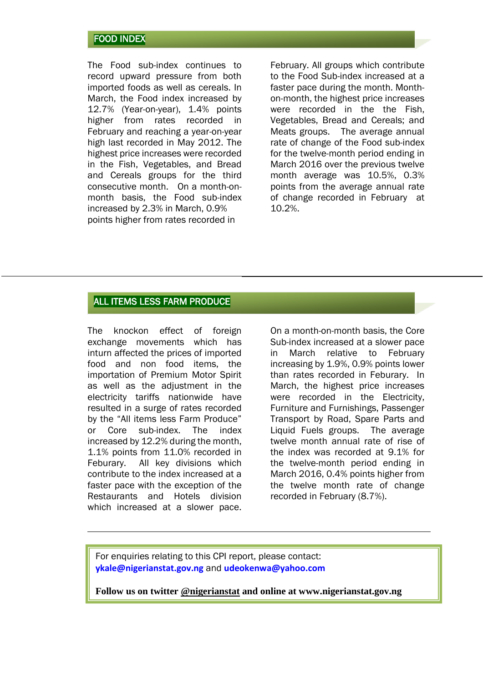### FOOD INDEX

The Food sub-index continues to record upward pressure from both imported foods as well as cereals. In March, the Food index increased by 12.7% (Year-on-year), 1.4% points higher from rates recorded in February and reaching a year-on-year high last recorded in May 2012. The highest price increases were recorded in the Fish, Vegetables, and Bread and Cereals groups for the third consecutive month. On a month-onmonth basis, the Food sub-index increased by 2.3% in March, 0.9% points higher from rates recorded in

February. All groups which contribute to the Food Sub-index increased at a faster pace during the month. Monthon-month, the highest price increases were recorded in the the Fish, Vegetables, Bread and Cereals; and Meats groups. The average annual rate of change of the Food sub-index for the twelve-month period ending in March 2016 over the previous twelve month average was 10.5%, 0.3% points from the average annual rate of change recorded in February at 10.2%.

### ALL ITEMS LESS FARM PRODUCE

The knockon effect of foreign exchange movements which has inturn affected the prices of imported food and non food items, the importation of Premium Motor Spirit as well as the adjustment in the electricity tariffs nationwide have resulted in a surge of rates recorded by the "All items less Farm Produce" or Core sub-index. The index increased by 12.2% during the month, 1.1% points from 11.0% recorded in Feburary. All key divisions which contribute to the index increased at a faster pace with the exception of the Restaurants and Hotels division which increased at a slower pace.

On a month-on-month basis, the Core Sub-index increased at a slower pace in March relative to February increasing by 1.9%, 0.9% points lower than rates recorded in Feburary. In March, the highest price increases were recorded in the Electricity, Furniture and Furnishings, Passenger Transport by Road, Spare Parts and Liquid Fuels groups. The average twelve month annual rate of rise of the index was recorded at 9.1% for the twelve-month period ending in March 2016, 0.4% points higher from the twelve month rate of change recorded in February (8.7%).

For enquiries relating to this CPI report, please contact: **[ykale@nigerianstat.gov.ng](mailto:ykale@nigerianstat.gov.ng)** and **[udeokenwa@yahoo.com](mailto:udeokenwa@yahoo.com)**

**Follow us on twitter @nigerianstat and online at www.nigerianstat.gov.ng**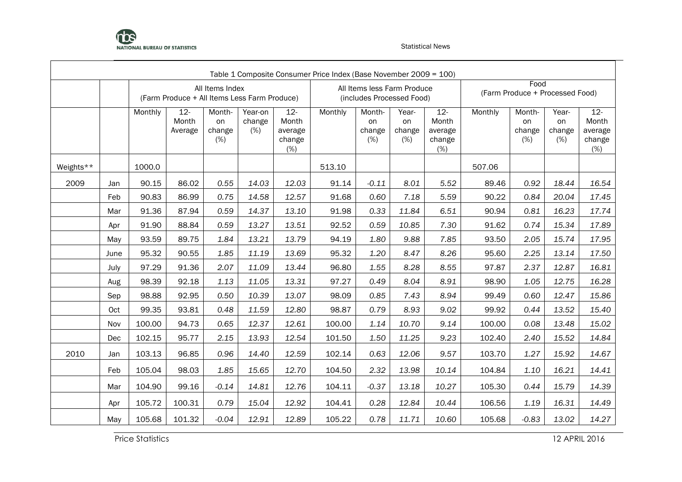

|           |      |         |                                              |                               |                          |                                             | Table 1 Composite Consumer Price Index (Base November 2009 = 100) |                               |                                                          |                                             |         |                                         |                              |                                             |
|-----------|------|---------|----------------------------------------------|-------------------------------|--------------------------|---------------------------------------------|-------------------------------------------------------------------|-------------------------------|----------------------------------------------------------|---------------------------------------------|---------|-----------------------------------------|------------------------------|---------------------------------------------|
|           |      |         | (Farm Produce + All Items Less Farm Produce) | All Items Index               |                          |                                             |                                                                   |                               | All Items less Farm Produce<br>(includes Processed Food) |                                             |         | Food<br>(Farm Produce + Processed Food) |                              |                                             |
|           |      | Monthly | $12 -$<br>Month<br>Average                   | Month-<br>on<br>change<br>(%) | Year-on<br>change<br>(%) | $12 -$<br>Month<br>average<br>change<br>(%) | Monthly                                                           | Month-<br>on<br>change<br>(%) | Year-<br>on<br>change<br>(%)                             | $12 -$<br>Month<br>average<br>change<br>(%) | Monthly | Month-<br>on<br>change<br>(%)           | Year-<br>on<br>change<br>(%) | $12 -$<br>Month<br>average<br>change<br>(%) |
| Weights** |      | 1000.0  |                                              |                               |                          |                                             | 513.10                                                            |                               |                                                          |                                             | 507.06  |                                         |                              |                                             |
| 2009      | Jan  | 90.15   | 86.02                                        | 0.55                          | 14.03                    | 12.03                                       | 91.14                                                             | $-0.11$                       | 8.01                                                     | 5.52                                        | 89.46   | 0.92                                    | 18.44                        | 16.54                                       |
|           | Feb  | 90.83   | 86.99                                        | 0.75                          | 14.58                    | 12.57                                       | 91.68                                                             | 0.60                          | 7.18                                                     | 5.59                                        | 90.22   | 0.84                                    | 20.04                        | 17.45                                       |
|           | Mar  | 91.36   | 87.94                                        | 0.59                          | 14.37                    | 13.10                                       | 91.98                                                             | 0.33                          | 11.84                                                    | 6.51                                        | 90.94   | 0.81                                    | 16.23                        | 17.74                                       |
|           | Apr  | 91.90   | 88.84                                        | 0.59                          | 13.27                    | 13.51                                       | 92.52                                                             | 0.59                          | 10.85                                                    | 7.30                                        | 91.62   | 0.74                                    | 15.34                        | 17.89                                       |
|           | May  | 93.59   | 89.75                                        | 1.84                          | 13.21                    | 13.79                                       | 94.19                                                             | 1.80                          | 9.88                                                     | 7.85                                        | 93.50   | 2.05                                    | 15.74                        | 17.95                                       |
|           | June | 95.32   | 90.55                                        | 1.85                          | 11.19                    | 13.69                                       | 95.32                                                             | 1.20                          | 8.47                                                     | 8.26                                        | 95.60   | 2.25                                    | 13.14                        | 17.50                                       |
|           | July | 97.29   | 91.36                                        | 2.07                          | 11.09                    | 13.44                                       | 96.80                                                             | 1.55                          | 8.28                                                     | 8.55                                        | 97.87   | 2.37                                    | 12.87                        | 16.81                                       |
|           | Aug  | 98.39   | 92.18                                        | 1.13                          | 11.05                    | 13.31                                       | 97.27                                                             | 0.49                          | 8.04                                                     | 8.91                                        | 98.90   | 1.05                                    | 12.75                        | 16.28                                       |
|           | Sep  | 98.88   | 92.95                                        | 0.50                          | 10.39                    | 13.07                                       | 98.09                                                             | 0.85                          | 7.43                                                     | 8.94                                        | 99.49   | 0.60                                    | 12.47                        | 15.86                                       |
|           | Oct  | 99.35   | 93.81                                        | 0.48                          | 11.59                    | 12.80                                       | 98.87                                                             | 0.79                          | 8.93                                                     | 9.02                                        | 99.92   | 0.44                                    | 13.52                        | 15.40                                       |
|           | Nov  | 100.00  | 94.73                                        | 0.65                          | 12.37                    | 12.61                                       | 100.00                                                            | 1.14                          | 10.70                                                    | 9.14                                        | 100.00  | 0.08                                    | 13.48                        | 15.02                                       |
|           | Dec  | 102.15  | 95.77                                        | 2.15                          | 13.93                    | 12.54                                       | 101.50                                                            | 1.50                          | 11.25                                                    | 9.23                                        | 102.40  | 2.40                                    | 15.52                        | 14.84                                       |
| 2010      | Jan  | 103.13  | 96.85                                        | 0.96                          | 14.40                    | 12.59                                       | 102.14                                                            | 0.63                          | 12.06                                                    | 9.57                                        | 103.70  | 1.27                                    | 15.92                        | 14.67                                       |
|           | Feb  | 105.04  | 98.03                                        | 1.85                          | 15.65                    | 12.70                                       | 104.50                                                            | 2.32                          | 13.98                                                    | 10.14                                       | 104.84  | 1.10                                    | 16.21                        | 14.41                                       |
|           | Mar  | 104.90  | 99.16                                        | $-0.14$                       | 14.81                    | 12.76                                       | 104.11                                                            | $-0.37$                       | 13.18                                                    | 10.27                                       | 105.30  | 0.44                                    | 15.79                        | 14.39                                       |
|           | Apr  | 105.72  | 100.31                                       | 0.79                          | 15.04                    | 12.92                                       | 104.41                                                            | 0.28                          | 12.84                                                    | 10.44                                       | 106.56  | 1.19                                    | 16.31                        | 14.49                                       |
|           | May  | 105.68  | 101.32                                       | $-0.04$                       | 12.91                    | 12.89                                       | 105.22                                                            | 0.78                          | 11.71                                                    | 10.60                                       | 105.68  | $-0.83$                                 | 13.02                        | 14.27                                       |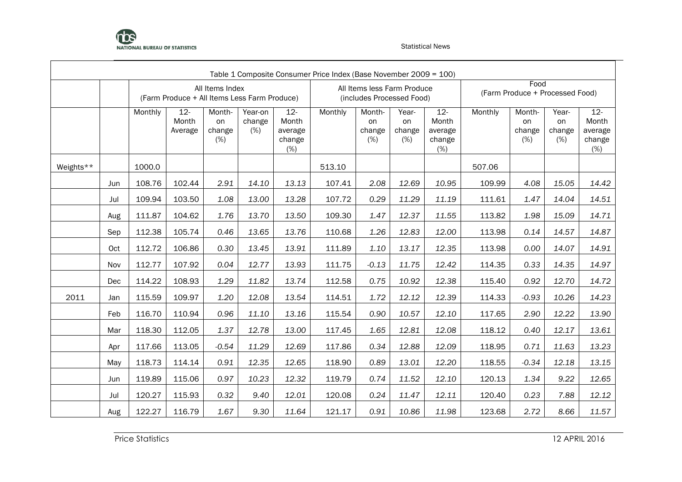

|           |                                                                                                                       |         |                                                                                                                                                                                                                                                                                                                                                                  |                               |                          |                                             | Table 1 Composite Consumer Price Index (Base November 2009 = 100) |                                                          |                              |                                             |         |                                         |                              |                                             |  |  |
|-----------|-----------------------------------------------------------------------------------------------------------------------|---------|------------------------------------------------------------------------------------------------------------------------------------------------------------------------------------------------------------------------------------------------------------------------------------------------------------------------------------------------------------------|-------------------------------|--------------------------|---------------------------------------------|-------------------------------------------------------------------|----------------------------------------------------------|------------------------------|---------------------------------------------|---------|-----------------------------------------|------------------------------|---------------------------------------------|--|--|
|           |                                                                                                                       |         | (Farm Produce + All Items Less Farm Produce)                                                                                                                                                                                                                                                                                                                     | All Items Index               |                          |                                             |                                                                   | All Items less Farm Produce<br>(includes Processed Food) |                              |                                             |         | Food<br>(Farm Produce + Processed Food) |                              |                                             |  |  |
|           |                                                                                                                       | Monthly | $12 -$<br>Month<br>Average                                                                                                                                                                                                                                                                                                                                       | Month-<br>on<br>change<br>(%) | Year-on<br>change<br>(%) | $12 -$<br>Month<br>average<br>change<br>(%) | Monthly                                                           | Month-<br>on<br>change<br>(%)                            | Year-<br>on<br>change<br>(%) | $12 -$<br>Month<br>average<br>change<br>(%) | Monthly | Month-<br>on<br>change<br>(%)           | Year-<br>on<br>change<br>(%) | $12 -$<br>Month<br>average<br>change<br>(%) |  |  |
| Weights** |                                                                                                                       | 1000.0  | 513.10<br>507.06<br>2.91<br>14.10<br>2.08<br>12.69<br>14.42<br>108.76<br>102.44<br>13.13<br>107.41<br>10.95<br>109.99<br>4.08<br>15.05<br>0.29<br>11.29<br>109.94<br>103.50<br>1.08<br>13.00<br>13.28<br>107.72<br>1.47<br>11.19<br>111.61<br>14.04<br>111.87<br>1.47<br>12.37<br>11.55<br>104.62<br>1.76<br>13.70<br>13.50<br>109.30<br>113.82<br>1.98<br>15.09 |                               |                          |                                             |                                                                   |                                                          |                              |                                             |         |                                         |                              |                                             |  |  |
|           | Jun                                                                                                                   |         |                                                                                                                                                                                                                                                                                                                                                                  |                               |                          |                                             |                                                                   |                                                          |                              |                                             |         |                                         |                              |                                             |  |  |
|           | Jul<br>Aug<br>112.38<br>0.46<br>13.65<br>13.76<br>110.68<br>1.26<br>12.83<br>12.00<br>113.98<br>0.14<br>105.74<br>Sep |         |                                                                                                                                                                                                                                                                                                                                                                  |                               |                          |                                             |                                                                   |                                                          |                              |                                             |         |                                         |                              | 14.51                                       |  |  |
|           | 0.30<br>112.72<br>106.86<br>13.45<br>13.91<br>111.89<br>1.10<br>13.17<br>12.35<br>113.98<br>Oct<br>114.35             |         |                                                                                                                                                                                                                                                                                                                                                                  |                               |                          |                                             |                                                                   |                                                          |                              |                                             |         |                                         |                              | 14.71                                       |  |  |
|           |                                                                                                                       |         |                                                                                                                                                                                                                                                                                                                                                                  |                               |                          |                                             |                                                                   |                                                          |                              |                                             |         |                                         | 14.57                        | 14.87                                       |  |  |
|           |                                                                                                                       |         |                                                                                                                                                                                                                                                                                                                                                                  |                               |                          |                                             |                                                                   |                                                          |                              |                                             |         | 0.00                                    | 14.07                        | 14.91                                       |  |  |
|           | 112.77<br>107.92<br>0.04<br>12.77<br>13.93<br>$-0.13$<br>11.75<br>111.75<br>12.42<br>Nov                              |         |                                                                                                                                                                                                                                                                                                                                                                  |                               |                          |                                             |                                                                   |                                                          |                              |                                             |         | 0.33                                    | 14.35                        | 14.97                                       |  |  |
|           | Dec                                                                                                                   | 114.22  | 108.93                                                                                                                                                                                                                                                                                                                                                           | 1.29                          | 11.82                    | 13.74                                       | 112.58                                                            | 0.75                                                     | 10.92                        | 12.38                                       | 115.40  | 0.92                                    | 12.70                        | 14.72                                       |  |  |
| 2011      | Jan                                                                                                                   | 115.59  | 109.97                                                                                                                                                                                                                                                                                                                                                           | 1.20                          | 12.08                    | 13.54                                       | 114.51                                                            | 1.72                                                     | 12.12                        | 12.39                                       | 114.33  | $-0.93$                                 | 10.26                        | 14.23                                       |  |  |
|           | Feb                                                                                                                   | 116.70  | 110.94                                                                                                                                                                                                                                                                                                                                                           | 0.96                          | 11.10                    | 13.16                                       | 115.54                                                            | 0.90                                                     | 10.57                        | 12.10                                       | 117.65  | 2.90                                    | 12.22                        | 13.90                                       |  |  |
|           | Mar                                                                                                                   | 118.30  | 112.05                                                                                                                                                                                                                                                                                                                                                           | 1.37                          | 12.78                    | 13.00                                       | 117.45                                                            | 1.65                                                     | 12.81                        | 12.08                                       | 118.12  | 0.40                                    | 12.17                        | 13.61                                       |  |  |
|           | Apr                                                                                                                   | 117.66  | 113.05                                                                                                                                                                                                                                                                                                                                                           | $-0.54$                       | 11.29                    | 12.69                                       | 117.86                                                            | 0.34                                                     | 12.88                        | 12.09                                       | 118.95  | 0.71                                    | 11.63                        | 13.23                                       |  |  |
|           | May                                                                                                                   | 118.73  | 114.14                                                                                                                                                                                                                                                                                                                                                           | 0.91                          | 12.35                    | 12.65                                       | 118.90                                                            | 0.89                                                     | 13.01                        | 12.20                                       | 118.55  | $-0.34$                                 | 12.18                        | 13.15                                       |  |  |
|           | Jun                                                                                                                   | 119.89  | 115.06                                                                                                                                                                                                                                                                                                                                                           | 0.97                          | 10.23                    | 12.32                                       | 119.79                                                            | 0.74                                                     | 11.52                        | 12.10                                       | 120.13  | 1.34                                    | 9.22                         | 12.65                                       |  |  |
|           | Jul                                                                                                                   | 120.27  | 115.93                                                                                                                                                                                                                                                                                                                                                           | 0.32                          | 9.40                     | 12.01                                       | 120.08                                                            | 0.24                                                     | 11.47                        | 12.11                                       | 120.40  | 0.23                                    | 7.88                         | 12.12                                       |  |  |
|           | Aug                                                                                                                   | 122.27  | 116.79                                                                                                                                                                                                                                                                                                                                                           | 1.67                          | 9.30                     | 11.64                                       | 121.17                                                            | 0.91                                                     | 10.86                        | 11.98                                       | 123.68  | 2.72                                    | 8.66                         | 11.57                                       |  |  |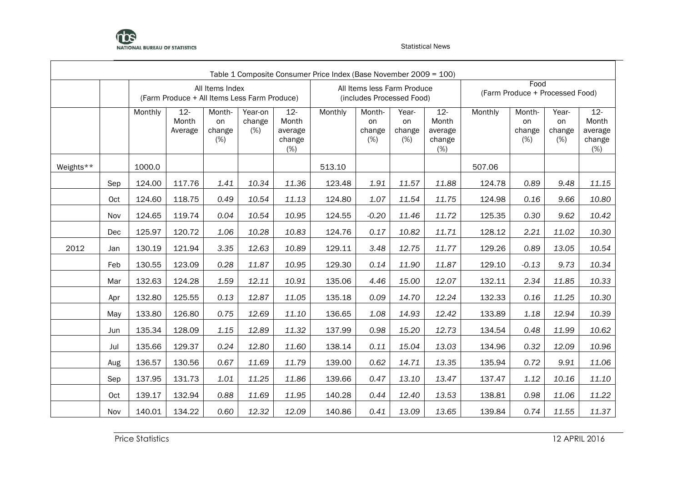

|           |     |                                                                                                                                                                                                                                                                                                                                           |                                              |                               |                          |                                             | Table 1 Composite Consumer Price Index (Base November 2009 = 100) |                                                          |                              |                                                |         |                                         |                              |                                                |  |
|-----------|-----|-------------------------------------------------------------------------------------------------------------------------------------------------------------------------------------------------------------------------------------------------------------------------------------------------------------------------------------------|----------------------------------------------|-------------------------------|--------------------------|---------------------------------------------|-------------------------------------------------------------------|----------------------------------------------------------|------------------------------|------------------------------------------------|---------|-----------------------------------------|------------------------------|------------------------------------------------|--|
|           |     |                                                                                                                                                                                                                                                                                                                                           | (Farm Produce + All Items Less Farm Produce) | All Items Index               |                          |                                             |                                                                   | All Items less Farm Produce<br>(includes Processed Food) |                              |                                                |         | Food<br>(Farm Produce + Processed Food) |                              |                                                |  |
|           |     | Monthly                                                                                                                                                                                                                                                                                                                                   | $12 -$<br>Month<br>Average                   | Month-<br>on<br>change<br>(%) | Year-on<br>change<br>(%) | $12 -$<br>Month<br>average<br>change<br>(%) | Monthly                                                           | Month-<br>on<br>change<br>(%)                            | Year-<br>on<br>change<br>(%) | $12 -$<br>Month<br>average<br>change<br>$(\%)$ | Monthly | Month-<br>on<br>change<br>(%)           | Year-<br>on<br>change<br>(%) | $12 -$<br>Month<br>average<br>change<br>$(\%)$ |  |
| Weights** |     | 1000.0<br>513.10<br>507.06<br>10.34<br>0.89<br>124.00<br>117.76<br>1.41<br>11.36<br>123.48<br>1.91<br>11.57<br>11.88<br>124.78<br>0.49<br>10.54<br>1.07<br>11.54<br>124.60<br>118.75<br>11.13<br>124.80<br>11.75<br>124.98<br>0.16<br>124.65<br>0.04<br>10.54<br>10.95<br>$-0.20$<br>11.46<br>11.72<br>0.30<br>119.74<br>124.55<br>125.35 |                                              |                               |                          |                                             |                                                                   |                                                          |                              |                                                |         |                                         |                              |                                                |  |
|           | Sep |                                                                                                                                                                                                                                                                                                                                           |                                              |                               |                          |                                             |                                                                   |                                                          |                              |                                                | 9.48    | 11.15                                   |                              |                                                |  |
|           | Oct |                                                                                                                                                                                                                                                                                                                                           |                                              |                               |                          |                                             |                                                                   |                                                          |                              |                                                |         |                                         | 9.66                         | 10.80                                          |  |
|           | Nov |                                                                                                                                                                                                                                                                                                                                           |                                              |                               |                          |                                             |                                                                   |                                                          |                              |                                                |         |                                         | 9.62                         | 10.42                                          |  |
|           | Dec | 125.97                                                                                                                                                                                                                                                                                                                                    | 120.72                                       | 1.06                          | 10.28                    | 10.83                                       | 124.76                                                            | 0.17                                                     | 10.82                        | 11.71                                          | 128.12  | 2.21                                    | 11.02                        | 10.30                                          |  |
| 2012      | Jan | 130.19                                                                                                                                                                                                                                                                                                                                    | 121.94                                       | 3.35                          | 12.63                    | 10.89                                       | 129.11                                                            | 3.48                                                     | 12.75                        | 11.77                                          | 129.26  | 0.89                                    | 13.05                        | 10.54                                          |  |
|           | Feb | 130.55                                                                                                                                                                                                                                                                                                                                    | 123.09                                       | 0.28                          | 11.87                    | 10.95                                       | 129.30                                                            | 0.14                                                     | 11.90                        | 11.87                                          | 129.10  | $-0.13$                                 | 9.73                         | 10.34                                          |  |
|           | Mar | 132.63                                                                                                                                                                                                                                                                                                                                    | 124.28                                       | 1.59                          | 12.11                    | 10.91                                       | 135.06                                                            | 4.46                                                     | 15.00                        | 12.07                                          | 132.11  | 2.34                                    | 11.85                        | 10.33                                          |  |
|           | Apr | 132.80                                                                                                                                                                                                                                                                                                                                    | 125.55                                       | 0.13                          | 12.87                    | 11.05                                       | 135.18                                                            | 0.09                                                     | 14.70                        | 12.24                                          | 132.33  | 0.16                                    | 11.25                        | 10.30                                          |  |
|           | May | 133.80                                                                                                                                                                                                                                                                                                                                    | 126.80                                       | 0.75                          | 12.69                    | 11.10                                       | 136.65                                                            | 1.08                                                     | 14.93                        | 12.42                                          | 133.89  | 1.18                                    | 12.94                        | 10.39                                          |  |
|           | Jun | 135.34                                                                                                                                                                                                                                                                                                                                    | 128.09                                       | 1.15                          | 12.89                    | 11.32                                       | 137.99                                                            | 0.98                                                     | 15.20                        | 12.73                                          | 134.54  | 0.48                                    | 11.99                        | 10.62                                          |  |
|           | Jul | 135.66                                                                                                                                                                                                                                                                                                                                    | 129.37                                       | 0.24                          | 12.80                    | 11.60                                       | 138.14                                                            | 0.11                                                     | 15.04                        | 13.03                                          | 134.96  | 0.32                                    | 12.09                        | 10.96                                          |  |
|           | Aug | 136.57                                                                                                                                                                                                                                                                                                                                    | 130.56                                       | 0.67                          | 11.69                    | 11.79                                       | 139.00                                                            | 0.62                                                     | 14.71                        | 13.35                                          | 135.94  | 0.72                                    | 9.91                         | 11.06                                          |  |
|           | Sep | 137.95                                                                                                                                                                                                                                                                                                                                    | 131.73                                       | 1.01                          | 11.25                    | 11.86                                       | 139.66                                                            | 0.47                                                     | 13.10                        | 13.47                                          | 137.47  | 1.12                                    | 10.16                        | 11.10                                          |  |
|           | Oct | 139.17                                                                                                                                                                                                                                                                                                                                    | 132.94                                       | 0.88                          | 11.69                    | 11.95                                       | 140.28                                                            | 0.44                                                     | 12.40                        | 13.53                                          | 138.81  | 0.98                                    | 11.06                        | 11.22                                          |  |
|           | Nov | 140.01                                                                                                                                                                                                                                                                                                                                    | 134.22                                       | 0.60                          | 12.32                    | 12.09                                       | 140.86                                                            | 0.41                                                     | 13.09                        | 13.65                                          | 139.84  | 0.74                                    | 11.55                        | 11.37                                          |  |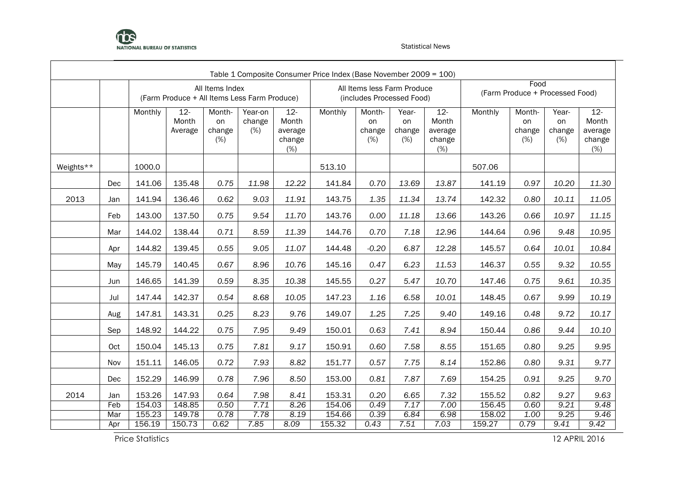

|           |     |                                                                                                        |                                                                                                                                                                                                                  |                               |                          |                                             | Table 1 Composite Consumer Price Index (Base November 2009 = 100) |                               |                                                          |                                             |         |                                         |                              |                                             |  |  |
|-----------|-----|--------------------------------------------------------------------------------------------------------|------------------------------------------------------------------------------------------------------------------------------------------------------------------------------------------------------------------|-------------------------------|--------------------------|---------------------------------------------|-------------------------------------------------------------------|-------------------------------|----------------------------------------------------------|---------------------------------------------|---------|-----------------------------------------|------------------------------|---------------------------------------------|--|--|
|           |     |                                                                                                        | (Farm Produce + All Items Less Farm Produce)                                                                                                                                                                     | All Items Index               |                          |                                             |                                                                   |                               | All Items less Farm Produce<br>(includes Processed Food) |                                             |         | Food<br>(Farm Produce + Processed Food) |                              |                                             |  |  |
|           |     | Monthly                                                                                                | $12 -$<br>Month<br>Average                                                                                                                                                                                       | Month-<br>on<br>change<br>(%) | Year-on<br>change<br>(%) | $12 -$<br>Month<br>average<br>change<br>(%) | Monthly                                                           | Month-<br>on<br>change<br>(%) | Year-<br>on<br>change<br>(%)                             | $12 -$<br>Month<br>average<br>change<br>(%) | Monthly | Month-<br>on<br>change<br>(%)           | Year-<br>on<br>change<br>(%) | $12 -$<br>Month<br>average<br>change<br>(%) |  |  |
| Weights** |     | 1000.0                                                                                                 |                                                                                                                                                                                                                  |                               |                          |                                             | 513.10                                                            |                               |                                                          |                                             | 507.06  |                                         |                              |                                             |  |  |
|           | Dec | 141.06                                                                                                 | 135.48                                                                                                                                                                                                           | 0.75                          | 11.98                    | 12.22                                       | 141.84                                                            | 0.70                          | 13.69                                                    | 13.87                                       | 141.19  | 0.97                                    | 10.20                        | 11.30                                       |  |  |
| 2013      | Jan | 141.94                                                                                                 | 136.46                                                                                                                                                                                                           | 0.62                          | 9.03                     | 11.91                                       | 143.75                                                            | 1.35                          | 11.34                                                    | 13.74                                       | 142.32  | 0.80                                    | 10.11                        | 11.05                                       |  |  |
|           | Feb | 143.00                                                                                                 | 137.50<br>0.75<br>9.54<br>11.70<br>143.76<br>0.00<br>10.97<br>11.15<br>11.18<br>13.66<br>143.26<br>0.66<br>10.95<br>138.44<br>0.71<br>8.59<br>11.39<br>144.76<br>0.70<br>7.18<br>12.96<br>144.64<br>0.96<br>9.48 |                               |                          |                                             |                                                                   |                               |                                                          |                                             |         |                                         |                              |                                             |  |  |
|           | Mar | 144.02                                                                                                 | 0.55<br>9.05<br>11.07<br>$-0.20$<br>6.87<br>139.45<br>144.48<br>12.28<br>145.57<br>0.64<br>10.01                                                                                                                 |                               |                          |                                             |                                                                   |                               |                                                          |                                             |         |                                         |                              |                                             |  |  |
|           | Apr | 144.82                                                                                                 |                                                                                                                                                                                                                  |                               |                          |                                             |                                                                   |                               |                                                          |                                             |         |                                         |                              | 10.84                                       |  |  |
|           | May | 145.79<br>140.45<br>0.67<br>10.76<br>0.47<br>6.23<br>11.53<br>9.32<br>8.96<br>145.16<br>146.37<br>0.55 |                                                                                                                                                                                                                  |                               |                          |                                             |                                                                   |                               |                                                          |                                             |         |                                         |                              |                                             |  |  |
|           | Jun | 146.65                                                                                                 | 141.39                                                                                                                                                                                                           | 0.59                          | 8.35                     | 10.38                                       | 145.55                                                            | 0.27                          | 5.47                                                     | 10.70                                       | 147.46  | 0.75                                    | 9.61                         | 10.35                                       |  |  |
|           | Jul | 147.44                                                                                                 | 142.37                                                                                                                                                                                                           | 0.54                          | 8.68                     | 10.05                                       | 147.23                                                            | 1.16                          | 6.58                                                     | 10.01                                       | 148.45  | 0.67                                    | 9.99                         | 10.19                                       |  |  |
|           | Aug | 147.81                                                                                                 | 143.31                                                                                                                                                                                                           | 0.25                          | 8.23                     | 9.76                                        | 149.07                                                            | 1.25                          | 7.25                                                     | 9.40                                        | 149.16  | 0.48                                    | 9.72                         | 10.17                                       |  |  |
|           | Sep | 148.92                                                                                                 | 144.22                                                                                                                                                                                                           | 0.75                          | 7.95                     | 9.49                                        | 150.01                                                            | 0.63                          | 7.41                                                     | 8.94                                        | 150.44  | 0.86                                    | 9.44                         | 10.10                                       |  |  |
|           | Oct | 150.04                                                                                                 | 145.13                                                                                                                                                                                                           | 0.75                          | 7.81                     | 9.17                                        | 150.91                                                            | 0.60                          | 7.58                                                     | 8.55                                        | 151.65  | 0.80                                    | 9.25                         | 9.95                                        |  |  |
|           | Nov | 151.11                                                                                                 | 146.05                                                                                                                                                                                                           | 0.72                          | 7.93                     | 8.82                                        | 151.77                                                            | 0.57                          | 7.75                                                     | 8.14                                        | 152.86  | 0.80                                    | 9.31                         | 9.77                                        |  |  |
|           | Dec | 152.29                                                                                                 | 146.99                                                                                                                                                                                                           | 0.78                          | 7.96                     | 8.50                                        | 153.00                                                            | 0.81                          | 7.87                                                     | 7.69                                        | 154.25  | 0.91                                    | 9.25                         | 9.70                                        |  |  |
| 2014      | Jan | 153.26                                                                                                 | 147.93                                                                                                                                                                                                           | 0.64                          | 7.98                     | 8.41                                        | 153.31                                                            | 0.20                          | 6.65                                                     | 7.32                                        | 155.52  | 0.82                                    | 9.27                         | 9.63                                        |  |  |
|           | Feb | 154.03                                                                                                 | 148.85                                                                                                                                                                                                           | 0.50                          | 7.71                     | 8.26                                        | 154.06                                                            | 0.49                          | 7.17                                                     | 7.00                                        | 156.45  | 0.60                                    | 9.21                         | 9.48                                        |  |  |
|           | Mar | 155.23                                                                                                 | 149.78                                                                                                                                                                                                           | 0.78                          | 7.78                     | 8.19                                        | 154.66                                                            | 0.39                          | 6.84                                                     | 6.98                                        | 158.02  | 1.00                                    | 9.25                         | 9.46                                        |  |  |
|           | Apr | 156.19                                                                                                 | 150.73                                                                                                                                                                                                           | 0.62                          | 7.85                     | 8.09                                        | 155.32                                                            | 0.43                          | 7.51                                                     | 7.03                                        | 159.27  | 0.79                                    | 9.41                         | 9.42                                        |  |  |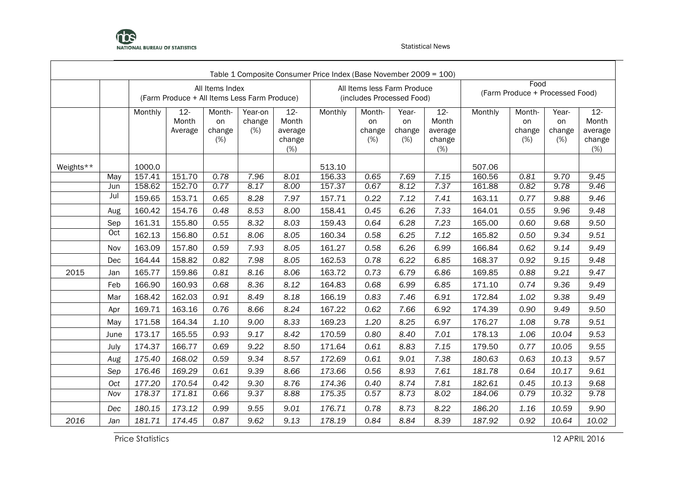

|           |                                                                                                                                                                                                                                                                                                                                                                                                                                                                                                                                                                                   |         | (Farm Produce + All Items Less Farm Produce) | All Items Index               |                          |                                             |         |                                                                                                                                                                                                                                                                                                                                                                                                                                                                                                                                                                                                                                                                                                                                                                                                                                                                                                                                                                                                                                                                                                                                                                                                                                                                                                                                                                                                   |      |      |        |      |       |              |  |  |
|-----------|-----------------------------------------------------------------------------------------------------------------------------------------------------------------------------------------------------------------------------------------------------------------------------------------------------------------------------------------------------------------------------------------------------------------------------------------------------------------------------------------------------------------------------------------------------------------------------------|---------|----------------------------------------------|-------------------------------|--------------------------|---------------------------------------------|---------|---------------------------------------------------------------------------------------------------------------------------------------------------------------------------------------------------------------------------------------------------------------------------------------------------------------------------------------------------------------------------------------------------------------------------------------------------------------------------------------------------------------------------------------------------------------------------------------------------------------------------------------------------------------------------------------------------------------------------------------------------------------------------------------------------------------------------------------------------------------------------------------------------------------------------------------------------------------------------------------------------------------------------------------------------------------------------------------------------------------------------------------------------------------------------------------------------------------------------------------------------------------------------------------------------------------------------------------------------------------------------------------------------|------|------|--------|------|-------|--------------|--|--|
|           |                                                                                                                                                                                                                                                                                                                                                                                                                                                                                                                                                                                   | Monthly | $12 -$<br>Month<br>Average                   | Month-<br>on<br>change<br>(%) | Year-on<br>change<br>(%) | $12 -$<br>Month<br>average<br>change<br>(%) | Monthly | Table 1 Composite Consumer Price Index (Base November 2009 = 100)<br>Food<br>All Items less Farm Produce<br>(Farm Produce + Processed Food)<br>(includes Processed Food)<br>$12 -$<br>Monthly<br>Month-<br>Year-<br>Month-<br>Year-<br>Month<br>Month<br>on<br>on<br>on<br>on<br>average<br>average<br>change<br>change<br>change<br>change<br>(%)<br>(%)<br>change<br>(%)<br>(%)<br>$(\%)$<br>507.06<br>7.69<br>0.65<br>7.15<br>160.56<br>0.81<br>9.70<br>7.37<br>0.67<br>8.12<br>161.88<br>9.78<br>0.82<br>0.22<br>7.12<br>7.41<br>163.11<br>9.88<br>0.77<br>0.45<br>6.26<br>7.33<br>164.01<br>0.55<br>9.96<br>0.64<br>6.28<br>7.23<br>9.68<br>165.00<br>0.60<br>7.12<br>9.34<br>0.58<br>6.25<br>165.82<br>0.50<br>6.99<br>166.84<br>9.14<br>0.58<br>6.26<br>0.62<br>6.22<br>6.85<br>168.37<br>9.15<br>0.78<br>0.92<br>9.21<br>0.73<br>6.79<br>6.86<br>169.85<br>0.88<br>9.36<br>0.68<br>6.99<br>6.85<br>171.10<br>0.74<br>6.91<br>9.38<br>0.83<br>7.46<br>172.84<br>1.02<br>9.49<br>0.62<br>7.66<br>6.92<br>174.39<br>0.90<br>6.97<br>9.78<br>1.20<br>8.25<br>176.27<br>1.08<br>0.80<br>8.40<br>7.01<br>178.13<br>1.06<br>10.04<br>0.61<br>8.83<br>7.15<br>179.50<br>10.05<br>0.77<br>9.01<br>7.38<br>0.61<br>180.63<br>0.63<br>10.13<br>7.61<br>0.56<br>8.93<br>181.78<br>0.64<br>10.17<br>8.74<br>7.81<br>10.13<br>0.40<br>182.61<br>0.45<br>8.73<br>10.32<br>0.57<br>8.02<br>184.06<br>0.79 |      |      |        |      |       |              |  |  |
| Weights** | change<br>(%)<br>1000.0<br>513.10<br>151.70<br>0.78<br>8.01<br>157.41<br>7.96<br>156.33<br>9.45<br>May<br>158.62<br>152.70<br>0.77<br>8.17<br>8.00<br>157.37<br>9.46<br>Jun<br>Jul<br>153.71<br>159.65<br>0.65<br>8.28<br>7.97<br>157.71<br>160.42<br>154.76<br>0.48<br>8.53<br>158.41<br>8.00<br>Aug<br>161.31<br>155.80<br>8.32<br>159.43<br>0.55<br>8.03<br>9.50<br>Sep<br>Oct<br>162.13<br>156.80<br>160.34<br>0.51<br>8.06<br>8.05<br>9.51<br>163.09<br>157.80<br>161.27<br>0.59<br>7.93<br>8.05<br>Nov<br>164.44<br>158.82<br>0.82<br>7.98<br>162.53<br>8.05<br>9.48<br>Dec |         |                                              |                               |                          |                                             |         |                                                                                                                                                                                                                                                                                                                                                                                                                                                                                                                                                                                                                                                                                                                                                                                                                                                                                                                                                                                                                                                                                                                                                                                                                                                                                                                                                                                                   |      |      |        |      |       |              |  |  |
|           |                                                                                                                                                                                                                                                                                                                                                                                                                                                                                                                                                                                   |         |                                              |                               |                          |                                             |         |                                                                                                                                                                                                                                                                                                                                                                                                                                                                                                                                                                                                                                                                                                                                                                                                                                                                                                                                                                                                                                                                                                                                                                                                                                                                                                                                                                                                   |      |      |        |      |       |              |  |  |
|           |                                                                                                                                                                                                                                                                                                                                                                                                                                                                                                                                                                                   |         |                                              |                               |                          |                                             |         |                                                                                                                                                                                                                                                                                                                                                                                                                                                                                                                                                                                                                                                                                                                                                                                                                                                                                                                                                                                                                                                                                                                                                                                                                                                                                                                                                                                                   |      |      |        |      |       |              |  |  |
|           |                                                                                                                                                                                                                                                                                                                                                                                                                                                                                                                                                                                   |         |                                              |                               |                          |                                             |         |                                                                                                                                                                                                                                                                                                                                                                                                                                                                                                                                                                                                                                                                                                                                                                                                                                                                                                                                                                                                                                                                                                                                                                                                                                                                                                                                                                                                   |      |      |        |      |       | 9.46<br>9.48 |  |  |
|           |                                                                                                                                                                                                                                                                                                                                                                                                                                                                                                                                                                                   |         |                                              |                               |                          |                                             |         |                                                                                                                                                                                                                                                                                                                                                                                                                                                                                                                                                                                                                                                                                                                                                                                                                                                                                                                                                                                                                                                                                                                                                                                                                                                                                                                                                                                                   |      |      |        |      |       |              |  |  |
|           |                                                                                                                                                                                                                                                                                                                                                                                                                                                                                                                                                                                   |         |                                              |                               |                          |                                             |         |                                                                                                                                                                                                                                                                                                                                                                                                                                                                                                                                                                                                                                                                                                                                                                                                                                                                                                                                                                                                                                                                                                                                                                                                                                                                                                                                                                                                   |      |      |        |      |       |              |  |  |
|           |                                                                                                                                                                                                                                                                                                                                                                                                                                                                                                                                                                                   |         |                                              |                               |                          |                                             |         |                                                                                                                                                                                                                                                                                                                                                                                                                                                                                                                                                                                                                                                                                                                                                                                                                                                                                                                                                                                                                                                                                                                                                                                                                                                                                                                                                                                                   |      |      |        |      |       |              |  |  |
|           |                                                                                                                                                                                                                                                                                                                                                                                                                                                                                                                                                                                   |         |                                              |                               |                          |                                             |         |                                                                                                                                                                                                                                                                                                                                                                                                                                                                                                                                                                                                                                                                                                                                                                                                                                                                                                                                                                                                                                                                                                                                                                                                                                                                                                                                                                                                   |      |      |        |      |       | 9.49         |  |  |
|           |                                                                                                                                                                                                                                                                                                                                                                                                                                                                                                                                                                                   |         |                                              |                               |                          |                                             |         |                                                                                                                                                                                                                                                                                                                                                                                                                                                                                                                                                                                                                                                                                                                                                                                                                                                                                                                                                                                                                                                                                                                                                                                                                                                                                                                                                                                                   |      |      |        |      |       |              |  |  |
| 2015      | Jan                                                                                                                                                                                                                                                                                                                                                                                                                                                                                                                                                                               | 165.77  | 159.86                                       | 0.81                          | 8.16                     | 8.06                                        | 163.72  |                                                                                                                                                                                                                                                                                                                                                                                                                                                                                                                                                                                                                                                                                                                                                                                                                                                                                                                                                                                                                                                                                                                                                                                                                                                                                                                                                                                                   |      |      |        |      |       | 9.47         |  |  |
|           | Feb                                                                                                                                                                                                                                                                                                                                                                                                                                                                                                                                                                               | 166.90  | 160.93                                       | 0.68                          | 8.36                     | 8.12                                        | 164.83  |                                                                                                                                                                                                                                                                                                                                                                                                                                                                                                                                                                                                                                                                                                                                                                                                                                                                                                                                                                                                                                                                                                                                                                                                                                                                                                                                                                                                   |      |      |        |      |       | 9.49         |  |  |
|           | Mar                                                                                                                                                                                                                                                                                                                                                                                                                                                                                                                                                                               | 168.42  | 162.03                                       | 0.91                          | 8.49                     | 8.18                                        | 166.19  |                                                                                                                                                                                                                                                                                                                                                                                                                                                                                                                                                                                                                                                                                                                                                                                                                                                                                                                                                                                                                                                                                                                                                                                                                                                                                                                                                                                                   |      |      |        |      |       | 9.49         |  |  |
|           | Apr                                                                                                                                                                                                                                                                                                                                                                                                                                                                                                                                                                               | 169.71  | 163.16                                       | 0.76                          | 8.66                     | 8.24                                        | 167.22  |                                                                                                                                                                                                                                                                                                                                                                                                                                                                                                                                                                                                                                                                                                                                                                                                                                                                                                                                                                                                                                                                                                                                                                                                                                                                                                                                                                                                   |      |      |        |      |       | 9.50         |  |  |
|           | May                                                                                                                                                                                                                                                                                                                                                                                                                                                                                                                                                                               | 171.58  | 164.34                                       | 1.10                          | 9.00                     | 8.33                                        | 169.23  |                                                                                                                                                                                                                                                                                                                                                                                                                                                                                                                                                                                                                                                                                                                                                                                                                                                                                                                                                                                                                                                                                                                                                                                                                                                                                                                                                                                                   |      |      |        |      |       | 9.51         |  |  |
|           | June                                                                                                                                                                                                                                                                                                                                                                                                                                                                                                                                                                              | 173.17  | 165.55                                       | 0.93                          | 9.17                     | 8.42                                        | 170.59  |                                                                                                                                                                                                                                                                                                                                                                                                                                                                                                                                                                                                                                                                                                                                                                                                                                                                                                                                                                                                                                                                                                                                                                                                                                                                                                                                                                                                   |      |      |        |      |       | 9.53         |  |  |
|           | July                                                                                                                                                                                                                                                                                                                                                                                                                                                                                                                                                                              | 174.37  | 166.77                                       | 0.69                          | 9.22                     | 8.50                                        | 171.64  |                                                                                                                                                                                                                                                                                                                                                                                                                                                                                                                                                                                                                                                                                                                                                                                                                                                                                                                                                                                                                                                                                                                                                                                                                                                                                                                                                                                                   |      |      |        |      |       | 9.55         |  |  |
|           | Aug                                                                                                                                                                                                                                                                                                                                                                                                                                                                                                                                                                               | 175.40  | 168.02                                       | 0.59                          | 9.34                     | 8.57                                        | 172.69  |                                                                                                                                                                                                                                                                                                                                                                                                                                                                                                                                                                                                                                                                                                                                                                                                                                                                                                                                                                                                                                                                                                                                                                                                                                                                                                                                                                                                   |      |      |        |      |       | 9.57         |  |  |
|           | Sep                                                                                                                                                                                                                                                                                                                                                                                                                                                                                                                                                                               | 176.46  | 169.29                                       | 0.61                          | 9.39                     | 8.66                                        | 173.66  |                                                                                                                                                                                                                                                                                                                                                                                                                                                                                                                                                                                                                                                                                                                                                                                                                                                                                                                                                                                                                                                                                                                                                                                                                                                                                                                                                                                                   |      |      |        |      |       | 9.61         |  |  |
|           | Oct                                                                                                                                                                                                                                                                                                                                                                                                                                                                                                                                                                               | 177.20  | 170.54                                       | 0.42                          | 9.30                     | 8.76                                        | 174.36  |                                                                                                                                                                                                                                                                                                                                                                                                                                                                                                                                                                                                                                                                                                                                                                                                                                                                                                                                                                                                                                                                                                                                                                                                                                                                                                                                                                                                   |      |      |        |      |       | 9.68         |  |  |
|           | Nov                                                                                                                                                                                                                                                                                                                                                                                                                                                                                                                                                                               | 178.37  | 171.81                                       | 0.66                          | 9.37                     | 8.88                                        | 175.35  |                                                                                                                                                                                                                                                                                                                                                                                                                                                                                                                                                                                                                                                                                                                                                                                                                                                                                                                                                                                                                                                                                                                                                                                                                                                                                                                                                                                                   |      |      |        |      |       | 9.78         |  |  |
|           | Dec                                                                                                                                                                                                                                                                                                                                                                                                                                                                                                                                                                               | 180.15  | 173.12                                       | 0.99                          | 9.55                     | 9.01                                        | 176.71  | 0.78                                                                                                                                                                                                                                                                                                                                                                                                                                                                                                                                                                                                                                                                                                                                                                                                                                                                                                                                                                                                                                                                                                                                                                                                                                                                                                                                                                                              | 8.73 | 8.22 | 186.20 | 1.16 | 10.59 | 9.90         |  |  |
| 2016      | Jan                                                                                                                                                                                                                                                                                                                                                                                                                                                                                                                                                                               | 181.71  | 174.45                                       | 0.87                          | 9.62                     | 9.13                                        | 178.19  | 0.84                                                                                                                                                                                                                                                                                                                                                                                                                                                                                                                                                                                                                                                                                                                                                                                                                                                                                                                                                                                                                                                                                                                                                                                                                                                                                                                                                                                              | 8.84 | 8.39 | 187.92 | 0.92 | 10.64 | 10.02        |  |  |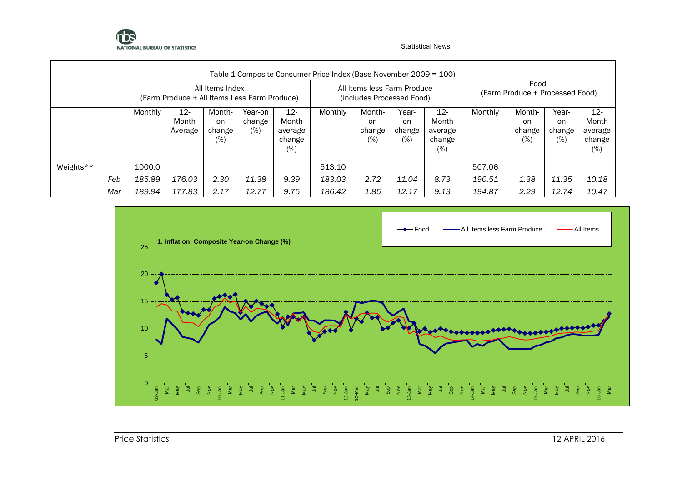

|           |     |         |                                              |                                   |                             |                                             | Table 1 Composite Consumer Price Index (Base November 2009 = 100) |                                                          |                              |                                             |         |                                         |                              |                                                |
|-----------|-----|---------|----------------------------------------------|-----------------------------------|-----------------------------|---------------------------------------------|-------------------------------------------------------------------|----------------------------------------------------------|------------------------------|---------------------------------------------|---------|-----------------------------------------|------------------------------|------------------------------------------------|
|           |     |         | (Farm Produce + All Items Less Farm Produce) | All Items Index                   |                             |                                             |                                                                   | All Items less Farm Produce<br>(includes Processed Food) |                              |                                             |         | Food<br>(Farm Produce + Processed Food) |                              |                                                |
|           |     | Monthly | $12 -$<br>Month<br>Average                   | Month-<br>on.<br>change<br>$(\%)$ | Year-on<br>change<br>$(\%)$ | $12 -$<br>Month<br>average<br>change<br>(%) | Monthly                                                           | Month-<br>on<br>change<br>(%)                            | Year-<br>on<br>change<br>(%) | $12 -$<br>Month<br>average<br>change<br>(%) | Monthly | Month-<br>on<br>change<br>$(\%)$        | Year-<br>on<br>change<br>(%) | $12 -$<br>Month<br>average<br>change<br>$(\%)$ |
| Weights** |     | 1000.0  |                                              |                                   |                             |                                             | 513.10                                                            |                                                          |                              |                                             | 507.06  |                                         |                              |                                                |
|           | Feb | 185.89  | 176.03                                       | 2.30                              | 11.38                       | 9.39                                        | 183.03                                                            | 2.72                                                     | 11.04                        | 8.73                                        | 190.51  | 1.38                                    | 11.35                        | 10.18                                          |
|           | Mar | 189.94  | 177.83                                       | 2.17                              | 12.77                       | 9.75                                        | 186.42                                                            | 1.85                                                     | 12.17                        | 9.13                                        | 194.87  | 2.29                                    | 12.74                        | 10.47                                          |

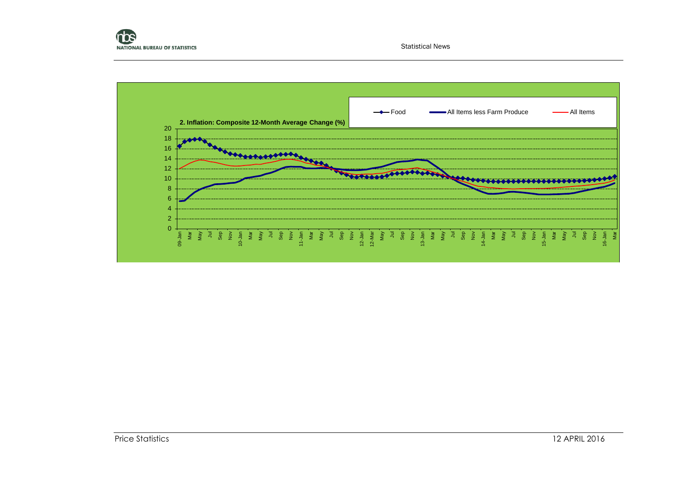

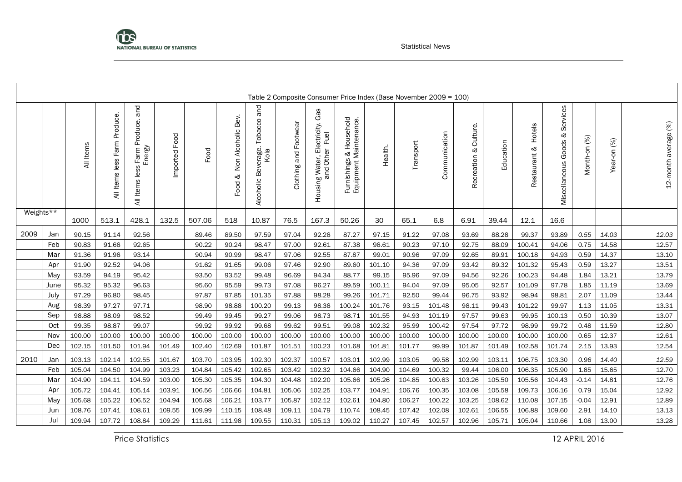

|           |            |           |                              |                                                  |               |        |                                    |                                                  |                       |                                                         |                                                   | Table 2 Composite Consumer Price Index (Base November 2009 = 100) |           |               |                             |           |                        |                                         |              |             |                      |
|-----------|------------|-----------|------------------------------|--------------------------------------------------|---------------|--------|------------------------------------|--------------------------------------------------|-----------------------|---------------------------------------------------------|---------------------------------------------------|-------------------------------------------------------------------|-----------|---------------|-----------------------------|-----------|------------------------|-----------------------------------------|--------------|-------------|----------------------|
|           |            | All Items | All Items less Farm Produce. | and<br>Farm Produce.<br>Energy<br>All Items less | Imported Food | Food   | Bev.<br>Non Alcoholic<br>ಳ<br>Food | and<br>Tobacco<br>Beverage.<br>Kola<br>Alcoholic | Clothing and Footwear | Gas<br>Housing Water, Electricity.<br>Fuel<br>and Other | Furnishings & Household<br>Equipment Maintenance. | Health.                                                           | Transport | Communication | Culture.<br>ళ<br>Recreation | Education | Hotels<br>Restaurant & | Services<br>ళ<br>Goods<br>Miscellaneous | Month-on (%) | Year-on (%) | 12-month average (%) |
| Weights** |            | 1000      | 513.1                        | 428.1                                            | 132.5         | 507.06 | 518                                | 10.87                                            | 76.5                  | 167.3                                                   | 50.26                                             | 30                                                                | 65.1      | 6.8           | 6.91                        | 39.44     | 12.1                   | 16.6                                    |              |             |                      |
| 2009      | Jan        | 90.15     | 91.14                        | 92.56                                            |               | 89.46  | 89.50                              | 97.59                                            | 97.04                 | 92.28                                                   | 87.27                                             | 97.15                                                             | 91.22     | 97.08         | 93.69                       | 88.28     | 99.37                  | 93.89                                   | 0.55         | 14.03       | 12.03                |
|           | Feb        | 90.83     | 91.68                        | 92.65                                            |               | 90.22  | 90.24                              | 98.47                                            | 97.00                 | 92.61                                                   | 87.38                                             | 98.61                                                             | 90.23     | 97.10         | 92.75                       | 88.09     | 100.41                 | 94.06                                   | 0.75         | 14.58       | 12.57                |
|           | Mar        | 91.36     | 91.98                        | 93.14                                            |               | 90.94  | 90.99                              | 98.47                                            | 97.06                 | 92.55                                                   | 87.87                                             | 99.01                                                             | 90.96     | 97.09         | 92.65                       | 89.91     | 100.18                 | 94.93                                   | 0.59         | 14.37       | 13.10                |
|           | Apr        | 91.90     | 92.52                        | 94.06                                            |               | 91.62  | 91.65                              | 99.06                                            | 97.46                 | 92.90                                                   | 89.60                                             | 101.10                                                            | 94.36     | 97.09         | 93.42                       | 89.32     | 101.32                 | 95.43                                   | 0.59         | 13.27       | 13.51                |
|           | May        | 93.59     | 94.19                        | 95.42                                            |               | 93.50  | 93.52                              | 99.48                                            | 96.69                 | 94.34                                                   | 88.77                                             | 99.15                                                             | 95.96     | 97.09         | 94.56                       | 92.26     | 100.23                 | 94.48                                   | 1.84         | 13.21       | 13.79                |
|           | June       | 95.32     | 95.32                        | 96.63                                            |               | 95.60  | 95.59                              | 99.73                                            | 97.08                 | 96.27                                                   | 89.59                                             | 100.11                                                            | 94.04     | 97.09         | 95.05                       | 92.57     | 101.09                 | 97.78                                   | 1.85         | 11.19       | 13.69                |
|           | July       | 97.29     | 96.80                        | 98.45                                            |               | 97.87  | 97.85                              | 101.35                                           | 97.88                 | 98.28                                                   | 99.26                                             | 101.71                                                            | 92.50     | 99.44         | 96.75                       | 93.92     | 98.94                  | 98.81                                   | 2.07         | 11.09       | 13.44                |
|           | Aug        | 98.39     | 97.27                        | 97.71                                            |               | 98.90  | 98.88                              | 100.20                                           | 99.13                 | 98.38                                                   | 100.24                                            | 101.76                                                            | 93.15     | 101.48        | 98.11                       | 99.43     | 101.22                 | 99.97                                   | 1.13         | 11.05       | 13.31                |
|           | Sep        | 98.88     | 98.09                        | 98.52                                            |               | 99.49  | 99.45                              | 99.27                                            | 99.06                 | 98.73                                                   | 98.71                                             | 101.55                                                            | 94.93     | 101.19        | 97.57                       | 99.63     | 99.95                  | 100.13                                  | 0.50         | 10.39       | 13.07                |
|           | Oct        | 99.35     | 98.87                        | 99.07                                            |               | 99.92  | 99.92                              | 99.68                                            | 99.62                 | 99.51                                                   | 99.08                                             | 102.32                                                            | 95.99     | 100.42        | 97.54                       | 97.72     | 98.99                  | 99.72                                   | 0.48         | 11.59       | 12.80                |
|           | Nov        | 100.00    | 100.00                       | 100.00                                           | 100.00        | 100.00 | 100.00                             | 100.00                                           | 100.00                | 100.00                                                  | 100.00                                            | 100.00                                                            | 100.00    | 100.00        | 100.00                      | 100.00    | 100.00                 | 100.00                                  | 0.65         | 12.37       | 12.61                |
|           | <b>Dec</b> | 102.15    | 101.50                       | 101.94                                           | 101.49        | 102.40 | 102.69                             | 101.87                                           | 101.51                | 100.23                                                  | 101.68                                            | 101.81                                                            | 101.77    | 99.99         | 101.87                      | 101.49    | 102.58                 | 101.74                                  | 2.15         | 13.93       | 12.54                |
| 2010      | Jan        | 103.13    | 102.14                       | 102.55                                           | 101.67        | 103.70 | 103.95                             | 102.30                                           | 102.37                | 100.57                                                  | 103.01                                            | 102.99                                                            | 103.05    | 99.58         | 102.99                      | 103.11    | 106.75                 | 103.30                                  | 0.96         | 14.40       | 12.59                |
|           | Feb        | 105.04    | 104.50                       | 104.99                                           | 103.23        | 104.84 | 105.42                             | 102.65                                           | 103.42                | 102.32                                                  | 104.66                                            | 104.90                                                            | 104.69    | 100.32        | 99.44                       | 106.00    | 106.35                 | 105.90                                  | 1.85         | 15.65       | 12.70                |
|           | Mar        | 104.90    | 104.11                       | 104.59                                           | 103.00        | 105.30 | 105.35                             | 104.30                                           | 104.48                | 102.20                                                  | 105.66                                            | 105.26                                                            | 104.85    | 100.63        | 103.26                      | 105.50    | 105.56                 | 104.43                                  | $-0.14$      | 14.81       | 12.76                |
|           | Apr        | 105.72    | 104.41                       | 105.14                                           | 103.91        | 106.56 | 106.66                             | 104.81                                           | 105.06                | 102.25                                                  | 103.77                                            | 104.91                                                            | 106.76    | 100.35        | 103.08                      | 105.58    | 109.73                 | 106.16                                  | 0.79         | 15.04       | 12.92                |
|           | May        | 105.68    | 105.22                       | 106.52                                           | 104.94        | 105.68 | 106.21                             | 103.77                                           | 105.87                | 102.12                                                  | 102.61                                            | 104.80                                                            | 106.27    | 100.22        | 103.25                      | 108.62    | 110.08                 | 107.15                                  | $-0.04$      | 12.91       | 12.89                |
|           | Jun        | 108.76    | 107.41                       | 108.61                                           | 109.55        | 109.99 | 110.15                             | 108.48                                           | 109.11                | 104.79                                                  | 110.74                                            | 108.45                                                            | 107.42    | 102.08        | 102.61                      | 106.55    | 106.88                 | 109.60                                  | 2.91         | 14.10       | 13.13                |
|           | Jul        | 109.94    | 107.72                       | 108.84                                           | 109.29        | 111.61 | 111.98                             | 109.55                                           | 110.31                | 105.13                                                  | 109.02                                            | 110.27                                                            | 107.45    | 102.57        | 102.96                      | 105.71    | 105.04                 | 110.66                                  | 1.08         | 13.00       | 13.28                |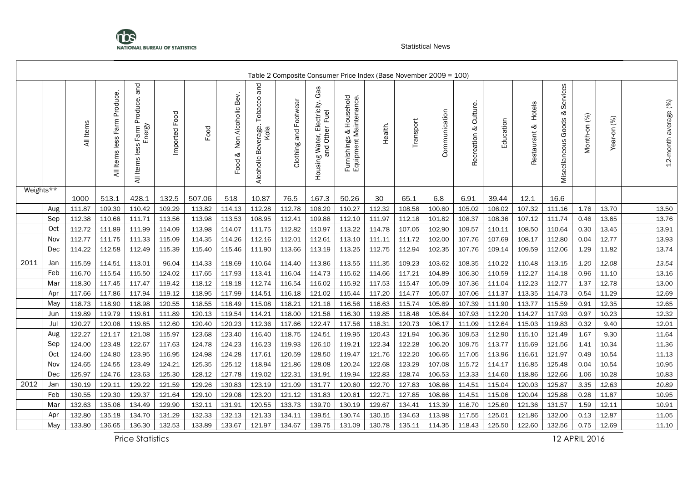

|           |     |           |                                 |                                               |                  |        |                                    |                                                      |                       |                                                                |                                                               | Table 2 Composite Consumer Price Index (Base November 2009 = 100) |           |               |                            |           |                           |                                      |              |             |                      |
|-----------|-----|-----------|---------------------------------|-----------------------------------------------|------------------|--------|------------------------------------|------------------------------------------------------|-----------------------|----------------------------------------------------------------|---------------------------------------------------------------|-------------------------------------------------------------------|-----------|---------------|----------------------------|-----------|---------------------------|--------------------------------------|--------------|-------------|----------------------|
|           |     | All Items | Produce.<br>All Items less Farm | and<br>All Items less Farm Produce.<br>Energy | Food<br>Imported | Food   | Bev.<br>Non Alcoholic<br>ళ<br>Food | and<br>Tobacco<br>erage.<br>Kola<br>Bēv<br>Alcoholic | Clothing and Footwear | Gas<br>Electricity.<br>Fuel<br>Housing Water, Eli<br>and Other | Household<br>Furnishings & Household<br>Equipment Maintenance | Health.                                                           | Transport | Communication | Culture<br>ళ<br>Recreation | Education | Hotels<br>ನ<br>Restaurant | Services<br>ళ<br>Miscellaneous Goods | Month-on (%) | Year-on (%) | 12-month average (%) |
| Weights** |     | 1000      | 513.1                           | 428.1                                         | 132.5            | 507.06 | 518                                | 10.87                                                | 76.5                  | 167.3                                                          | 50.26                                                         | 30                                                                | 65.1      | 6.8           | 6.91                       | 39.44     | 12.1                      | 16.6                                 |              |             |                      |
|           | Aug | 111.87    | 109.30                          | 110.42                                        | 109.29           | 113.82 | 114.13                             | 112.28                                               | 112.78                | 106.20                                                         | 110.27                                                        | 112.32                                                            | 108.58    | 100.60        | 105.02                     | 106.02    | 107.32                    | 111.16                               | 1.76         | 13.70       | 13.50                |
|           | Sep | 112.38    | 110.68                          | 111.71                                        | 113.56           | 113.98 | 113.53                             | 108.95                                               | 112.41                | 109.88                                                         | 112.10                                                        | 111.97                                                            | 112.18    | 101.82        | 108.37                     | 108.36    | 107.12                    | 111.74                               | 0.46         | 13.65       | 13.76                |
|           | Oct | 112.72    | 111.89                          | 111.99                                        | 114.09           | 113.98 | 114.07                             | 111.75                                               | 112.82                | 110.97                                                         | 113.22                                                        | 114.78                                                            | 107.05    | 102.90        | 109.57                     | 110.11    | 108.50                    | 110.64                               | 0.30         | 13.45       | 13.91                |
|           | Nov | 112.77    | 111.75                          | 111.33                                        | 115.09           | 114.35 | 114.26                             | 112.16                                               | 112.01                | 112.61                                                         | 113.10                                                        | 111.11                                                            | 111.72    | 102.00        | 107.76                     | 107.69    | 108.17                    | 112.80                               | 0.04         | 12.77       | 13.93                |
|           | Dec | 114.22    | 112.58                          | 112.49                                        | 115.39           | 115.40 | 115.46                             | 111.90                                               | 113.66                | 113.19                                                         | 113.25                                                        | 112.75                                                            | 112.94    | 102.35        | 107.76                     | 109.14    | 109.59                    | 112.06                               | 1.29         | 11.82       | 13.74                |
| 2011      | Jan | 115.59    | 114.51                          | 113.01                                        | 96.04            | 114.33 | 118.69                             | 110.64                                               | 114.40                | 113.86                                                         | 113.55                                                        | 111.35                                                            | 109.23    | 103.62        | 108.35                     | 110.22    | 110.48                    | 113.15                               | 1.20         | 12.08       | 13.54                |
|           | Feb | 116.70    | 115.54                          | 115.50                                        | 124.02           | 117.65 | 117.93                             | 113.41                                               | 116.04                | 114.73                                                         | 115.62                                                        | 114.66                                                            | 117.21    | 104.89        | 106.30                     | 110.59    | 112.27                    | 114.18                               | 0.96         | 11.10       | 13.16                |
|           | Mar | 118.30    | 117.45                          | 117.47                                        | 119.42           | 118.12 | 118.18                             | 112.74                                               | 116.54                | 116.02                                                         | 115.92                                                        | 117.53                                                            | 115.47    | 105.09        | 107.36                     | 111.04    | 112.23                    | 112.77                               | 1.37         | 12.78       | 13.00                |
|           | Apr | 117.66    | 117.86                          | 117.94                                        | 119.12           | 118.95 | 117.99                             | 114.51                                               | 116.18                | 121.02                                                         | 115.44                                                        | 117.20                                                            | 114.77    | 105.07        | 107.06                     | 111.37    | 113.35                    | 114.73                               | $-0.54$      | 11.29       | 12.69                |
|           | May | 118.73    | 118.90                          | 118.98                                        | 120.55           | 118.55 | 118.49                             | 115.08                                               | 118.21                | 121.18                                                         | 116.56                                                        | 116.63                                                            | 115.74    | 105.69        | 107.39                     | 111.90    | 113.77                    | 115.59                               | 0.91         | 12.35       | 12.65                |
|           | Jun | 119.89    | 119.79                          | 119.81                                        | 111.89           | 120.13 | 119.54                             | 114.21                                               | 118.00                | 121.58                                                         | 116.30                                                        | 119.85                                                            | 118.48    | 105.64        | 107.93                     | 112.20    | 114.27                    | 117.93                               | 0.97         | 10.23       | 12.32                |
|           | Jul | 120.27    | 120.08                          | 119.85                                        | 112.60           | 120.40 | 120.23                             | 112.36                                               | 117.66                | 122.47                                                         | 117.56                                                        | 118.31                                                            | 120.73    | 106.17        | 111.09                     | 112.64    | 115.03                    | 119.83                               | 0.32         | 9.40        | 12.01                |
|           | Aug | 122.27    | 121.17                          | 121.08                                        | 115.97           | 123.68 | 123.40                             | 116.40                                               | 118.75                | 124.51                                                         | 119.95                                                        | 120.43                                                            | 121.94    | 106.36        | 109.53                     | 112.90    | 115.10                    | 121.49                               | 1.67         | 9.30        | 11.64                |
|           | Sep | 124.00    | 123.48                          | 122.67                                        | 117.63           | 124.78 | 124.23                             | 116.23                                               | 119.93                | 126.10                                                         | 119.21                                                        | 122.34                                                            | 122.28    | 106.20        | 109.75                     | 113.77    | 115.69                    | 121.56                               | 1.41         | 10.34       | 11.36                |
|           | Oct | 124.60    | 124.80                          | 123.95                                        | 116.95           | 124.98 | 124.28                             | 117.61                                               | 120.59                | 128.50                                                         | 119.47                                                        | 121.76                                                            | 122.20    | 106.65        | 117.05                     | 113.96    | 116.61                    | 121.97                               | 0.49         | 10.54       | 11.13                |
|           | Nov | 124.65    | 124.55                          | 123.49                                        | 124.21           | 125.35 | 125.12                             | 118.94                                               | 121.86                | 128.08                                                         | 120.24                                                        | 122.68                                                            | 123.29    | 107.08        | 115.72                     | 114.17    | 116.85                    | 125.48                               | 0.04         | 10.54       | 10.95                |
|           | Dec | 125.97    | 124.76                          | 123.63                                        | 125.30           | 128.12 | 127.78                             | 119.02                                               | 122.31                | 131.91                                                         | 119.94                                                        | 122.83                                                            | 128.74    | 106.53        | 113.33                     | 114.60    | 118.86                    | 122.66                               | 1.06         | 10.28       | 10.83                |
| 2012      | Jan | 130.19    | 129.11                          | 129.22                                        | 121.59           | 129.26 | 130.83                             | 123.19                                               | 121.09                | 131.77                                                         | 120.60                                                        | 122.70                                                            | 127.83    | 108.66        | 114.51                     | 115.04    | 120.03                    | 125.87                               | 3.35         | 12.63       | 10.89                |
|           | Feb | 130.55    | 129.30                          | 129.37                                        | 121.64           | 129.10 | 129.08                             | 123.20                                               | 121.12                | 131.83                                                         | 120.61                                                        | 122.71                                                            | 127.85    | 108.66        | 114.51                     | 115.06    | 120.04                    | 125.88                               | 0.28         | 11.87       | 10.95                |
|           | Mar | 132.63    | 135.06                          | 134.49                                        | 129.90           | 132.11 | 131.91                             | 120.55                                               | 133.73                | 139.70                                                         | 130.19                                                        | 129.67                                                            | 134.41    | 113.39        | 116.70                     | 125.60    | 121.36                    | 131.57                               | 1.59         | 12.11       | 10.91                |
|           | Apr | 132.80    | 135.18                          | 134.70                                        | 131.29           | 132.33 | 132.13                             | 121.33                                               | 134.11                | 139.51                                                         | 130.74                                                        | 130.15                                                            | 134.63    | 113.98        | 117.55                     | 125.01    | 121.86                    | 132.00                               | 0.13         | 12.87       | 11.05                |
|           | May | 133.80    | 136.65                          | 136.30                                        | 132.53           | 133.89 | 133.67                             | 121.97                                               | 134.67                | 139.75                                                         | 131.09                                                        | 130.78                                                            | 135.11    | 114.35        | 118.43                     | 125.50    | 122.60                    | 132.56                               | 0.75         | 12.69       | 11.10                |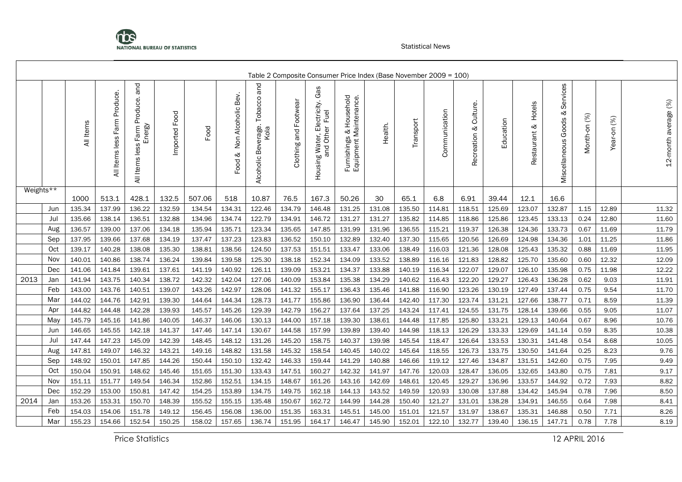

|                         |     |           |                                       |                                                  |               |        |                                    |                                                  |                       | Table 2 Composite Consumer Price Index (Base November 2009 = 100) |                                                   |         |           |               |                          |           |                           |                                      |              |             |                      |
|-------------------------|-----|-----------|---------------------------------------|--------------------------------------------------|---------------|--------|------------------------------------|--------------------------------------------------|-----------------------|-------------------------------------------------------------------|---------------------------------------------------|---------|-----------|---------------|--------------------------|-----------|---------------------------|--------------------------------------|--------------|-------------|----------------------|
|                         |     | All Items | Produce.<br>Farm<br>less<br>All Items | and<br>Farm Produce.<br>Energy<br>All Items less | Imported Food | Food   | Bev.<br>Non Alcoholic<br>ళ<br>Food | and<br>Tobacco<br>Beverage.<br>Kola<br>Alcoholic | Clothing and Footwear | Housing Water, Electricity. Gas<br>and Other Fuel                 | Furnishings & Household<br>Equipment Maintenance. | Health. | Transport | Communication | Culture.<br>Recreation & | Education | Hotels<br>⊗<br>Restaurant | Services<br>જ<br>Miscellaneous Goods | Month-on (%) | Year-on (%) | 12-month average (%) |
| Weights $\overline{**}$ |     | 1000      | 513.1                                 | 428.1                                            | 132.5         | 507.06 | 518                                | 10.87                                            | 76.5                  | 167.3                                                             | 50.26                                             | 30      | 65.1      | 6.8           | 6.91                     | 39.44     | 12.1                      | 16.6                                 |              |             |                      |
|                         | Jun | 135.34    | 137.99                                | 136.22                                           | 132.59        | 134.54 | 134.31                             | 122.46                                           | 134.79                | 146.48                                                            | 131.25                                            | 131.08  | 135.50    | 114.81        | 118.51                   | 125.69    | 123.07                    | 132.87                               | 1.15         | 12.89       | 11.32                |
|                         | Jul | 135.66    | 138.14                                | 136.51                                           | 132.88        | 134.96 | 134.74                             | 122.79                                           | 134.91                | 146.72                                                            | 131.27                                            | 131.27  | 135.82    | 114.85        | 118.86                   | 125.86    | 123.45                    | 133.13                               | 0.24         | 12.80       | 11.60                |
|                         | Aug | 136.57    | 139.00                                | 137.06                                           | 134.18        | 135.94 | 135.71                             | 123.34                                           | 135.65                | 147.85                                                            | 131.99                                            | 131.96  | 136.55    | 115.21        | 119.37                   | 126.38    | 124.36                    | 133.73                               | 0.67         | 11.69       | 11.79                |
|                         | Sep | 137.95    | 139.66                                | 137.68                                           | 134.19        | 137.47 | 137.23                             | 123.83                                           | 136.52                | 150.10                                                            | 132.89                                            | 132.40  | 137.30    | 115.65        | 120.56                   | 126.69    | 124.98                    | 134.36                               | 1.01         | 11.25       | 11.86                |
|                         | Oct | 139.17    | 140.28                                | 138.08                                           | 135.30        | 138.81 | 138.56                             | 124.50                                           | 137.53                | 151.51                                                            | 133.47                                            | 133.06  | 138.49    | 116.03        | 121.36                   | 128.08    | 125.43                    | 135.32                               | 0.88         | 11.69       | 11.95                |
|                         | Nov | 140.01    | 140.86                                | 138.74                                           | 136.24        | 139.84 | 139.58                             | 125.30                                           | 138.18                | 152.34                                                            | 134.09                                            | 133.52  | 138.89    | 116.16        | 121.83                   | 128.82    | 125.70                    | 135.60                               | 0.60         | 12.32       | 12.09                |
|                         | Dec | 141.06    | 141.84                                | 139.61                                           | 137.61        | 141.19 | 140.92                             | 126.11                                           | 139.09                | 153.21                                                            | 134.37                                            | 133.88  | 140.19    | 116.34        | 122.07                   | 129.07    | 126.10                    | 135.98                               | 0.75         | 11.98       | 12.22                |
| 2013                    | Jan | 141.94    | 143.75                                | 140.34                                           | 138.72        | 142.32 | 142.04                             | 127.06                                           | 140.09                | 153.84                                                            | 135.38                                            | 134.29  | 140.62    | 116.43        | 122.20                   | 129.27    | 126.43                    | 136.28                               | 0.62         | 9.03        | 11.91                |
|                         | Feb | 143.00    | 143.76                                | 140.51                                           | 139.07        | 143.26 | 142.97                             | 128.06                                           | 141.32                | 155.17                                                            | 136.43                                            | 135.46  | 141.88    | 116.90        | 123.26                   | 130.19    | 127.49                    | 137.44                               | 0.75         | 9.54        | 11.70                |
|                         | Mar | 144.02    | 144.76                                | 142.91                                           | 139.30        | 144.64 | 144.34                             | 128.73                                           | 141.77                | 155.86                                                            | 136.90                                            | 136.44  | 142.40    | 117.30        | 123.74                   | 131.21    | 127.66                    | 138.77                               | 0.71         | 8.59        | 11.39                |
|                         | Apr | 144.82    | 144.48                                | 142.28                                           | 139.93        | 145.57 | 145.26                             | 129.39                                           | 142.79                | 156.27                                                            | 137.64                                            | 137.25  | 143.24    | 117.41        | 124.55                   | 131.75    | 128.14                    | 139.66                               | 0.55         | 9.05        | 11.07                |
|                         | May | 145.79    | 145.16                                | 141.86                                           | 140.05        | 146.37 | 146.06                             | 130.13                                           | 144.00                | 157.18                                                            | 139.30                                            | 138.61  | 144.48    | 117.85        | 125.80                   | 133.21    | 129.13                    | 140.64                               | 0.67         | 8.96        | 10.76                |
|                         | Jun | 146.65    | 145.55                                | 142.18                                           | 141.37        | 147.46 | 147.14                             | 130.67                                           | 144.58                | 157.99                                                            | 139.89                                            | 139.40  | 144.98    | 118.13        | 126.29                   | 133.33    | 129.69                    | 141.14                               | 0.59         | 8.35        | 10.38                |
|                         | Jul | 147.44    | 147.23                                | 145.09                                           | 142.39        | 148.45 | 148.12                             | 131.26                                           | 145.20                | 158.75                                                            | 140.37                                            | 139.98  | 145.54    | 118.47        | 126.64                   | 133.53    | 130.31                    | 141.48                               | 0.54         | 8.68        | 10.05                |
|                         | Aug | 147.81    | 149.07                                | 146.32                                           | 143.21        | 149.16 | 148.82                             | 131.58                                           | 145.32                | 158.54                                                            | 140.45                                            | 140.02  | 145.64    | 118.55        | 126.73                   | 133.75    | 130.50                    | 141.64                               | 0.25         | 8.23        | 9.76                 |
|                         | Sep | 148.92    | 150.01                                | 147.85                                           | 144.26        | 150.44 | 150.10                             | 132.42                                           | 146.33                | 159.44                                                            | 141.29                                            | 140.88  | 146.66    | 119.12        | 127.46                   | 134.87    | 131.51                    | 142.60                               | 0.75         | 7.95        | 9.49                 |
|                         | Oct | 150.04    | 150.91                                | 148.62                                           | 145.46        | 151.65 | 151.30                             | 133.43                                           | 147.51                | 160.27                                                            | 142.32                                            | 141.97  | 147.76    | 120.03        | 128.47                   | 136.05    | 132.65                    | 143.80                               | 0.75         | 7.81        | 9.17                 |
|                         | Nov | 151.11    | 151.77                                | 149.54                                           | 146.34        | 152.86 | 152.51                             | 134.15                                           | 148.67                | 161.26                                                            | 143.16                                            | 142.69  | 148.61    | 120.45        | 129.27                   | 136.96    | 133.57                    | 144.92                               | 0.72         | 7.93        | 8.82                 |
|                         | Dec | 152.29    | 153.00                                | 150.81                                           | 147.42        | 154.25 | 153.89                             | 134.75                                           | 149.75                | 162.18                                                            | 144.13                                            | 143.52  | 149.59    | 120.93        | 130.08                   | 137.88    | 134.42                    | 145.94                               | 0.78         | 7.96        | 8.50                 |
| 2014                    | Jan | 153.26    | 153.31                                | 150.70                                           | 148.39        | 155.52 | 155.15                             | 135.48                                           | 150.67                | 162.72                                                            | 144.99                                            | 144.28  | 150.40    | 121.27        | 131.01                   | 138.28    | 134.91                    | 146.55                               | 0.64         | 7.98        | 8.41                 |
|                         | Feb | 154.03    | 154.06                                | 151.78                                           | 149.12        | 156.45 | 156.08                             | 136.00                                           | 151.35                | 163.31                                                            | 145.51                                            | 145.00  | 151.01    | 121.57        | 131.97                   | 138.67    | 135.31                    | 146.88                               | 0.50         | 7.71        | 8.26                 |
|                         | Mar | 155.23    | 154.66                                | 152.54                                           | 150.25        | 158.02 | 157.65                             | 136.74                                           | 151.95                | 164.17                                                            | 146.47                                            | 145.90  | 152.01    | 122.10        | 132.77                   | 139.40    | 136.15                    | 147.71                               | 0.78         | 7.78        | 8.19                 |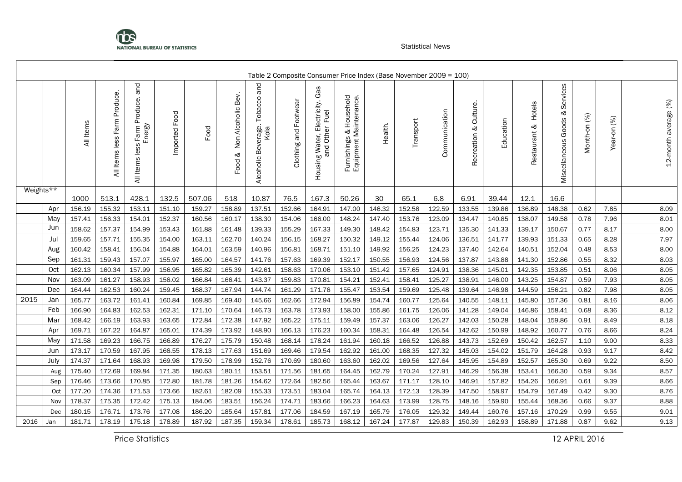

|           |      |           |                                     |                                               |               |        |                                    |                                                    |                       |                                                                |                                                                | Table 2 Composite Consumer Price Index (Base November 2009 = 100) |           |               |                             |           |                        |                                   |              |             |                      |
|-----------|------|-----------|-------------------------------------|-----------------------------------------------|---------------|--------|------------------------------------|----------------------------------------------------|-----------------------|----------------------------------------------------------------|----------------------------------------------------------------|-------------------------------------------------------------------|-----------|---------------|-----------------------------|-----------|------------------------|-----------------------------------|--------------|-------------|----------------------|
|           |      | All Items | Produce.<br>Farm<br>Items less<br>₹ | and<br>All Items less Farm Produce.<br>Energy | Imported Food | Food   | Bev.<br>Non Alcoholic<br>ಳ<br>Food | pue<br>Tobacco<br>: Beverage.<br>Kola<br>Alcoholic | Clothing and Footwear | Gas<br>Electricity.<br>Fuel<br>Housing Water, Ele<br>and Other | Household<br>Furnishings & Household<br>Equipment Maintenance. | Health.                                                           | Transport | Communication | Culture.<br>ನ<br>Recreation | Education | Hotels<br>Restaurant & | Services<br>Miscellaneous Goods & | Month-on (%) | Year-on (%) | 12-month average (%) |
| Weights** |      | 1000      | 513.1                               | 428.1                                         | 132.5         | 507.06 | 518                                | 10.87                                              | 76.5                  | 167.3                                                          | 50.26                                                          | 30                                                                | 65.1      | 6.8           | 6.91                        | 39.44     | 12.1                   | 16.6                              |              |             |                      |
|           | Apr  | 156.19    | 155.32                              | 153.11                                        | 151.10        | 159.27 | 158.89                             | 137.51                                             | 152.66                | 164.91                                                         | 147.00                                                         | 146.32                                                            | 152.58    | 122.59        | 133.55                      | 139.86    | 136.89                 | 148.38                            | 0.62         | 7.85        | 8.09                 |
|           | May  | 157.41    | 156.33                              | 154.01                                        | 152.37        | 160.56 | 160.17                             | 138.30                                             | 154.06                | 166.00                                                         | 148.24                                                         | 147.40                                                            | 153.76    | 123.09        | 134.47                      | 140.85    | 138.07                 | 149.58                            | 0.78         | 7.96        | 8.01                 |
|           | Jun  | 158.62    | 157.37                              | 154.99                                        | 153.43        | 161.88 | 161.48                             | 139.33                                             | 155.29                | 167.33                                                         | 149.30                                                         | 148.42                                                            | 154.83    | 123.71        | 135.30                      | 141.33    | 139.17                 | 150.67                            | 0.77         | 8.17        | 8.00                 |
|           | Jul  | 159.65    | 157.71                              | 155.35                                        | 154.00        | 163.11 | 162.70                             | 140.24                                             | 156.15                | 168.27                                                         | 150.32                                                         | 149.12                                                            | 155.44    | 124.06        | 136.51                      | 141.77    | 139.93                 | 151.33                            | 0.65         | 8.28        | 7.97                 |
|           | Aug  | 160.42    | 158.41                              | 156.04                                        | 154.88        | 164.01 | 163.59                             | 140.96                                             | 156.81                | 168.71                                                         | 151.10                                                         | 149.92                                                            | 156.25    | 124.23        | 137.40                      | 142.64    | 140.51                 | 152.04                            | 0.48         | 8.53        | 8.00                 |
|           | Sep  | 161.31    | 159.43                              | 157.07                                        | 155.97        | 165.00 | 164.57                             | 141.76                                             | 157.63                | 169.39                                                         | 152.17                                                         | 150.55                                                            | 156.93    | 124.56        | 137.87                      | 143.88    | 141.30                 | 152.86                            | 0.55         | 8.32        | 8.03                 |
|           | Oct  | 162.13    | 160.34                              | 157.99                                        | 156.95        | 165.82 | 165.39                             | 142.61                                             | 158.63                | 170.06                                                         | 153.10                                                         | 151.42                                                            | 157.65    | 124.91        | 138.36                      | 145.01    | 142.35                 | 153.85                            | 0.51         | 8.06        | 8.05                 |
|           | Nov  | 163.09    | 161.27                              | 158.93                                        | 158.02        | 166.84 | 166.41                             | 143.37                                             | 159.83                | 170.81                                                         | 154.21                                                         | 152.41                                                            | 158.41    | 125.27        | 138.91                      | 146.00    | 143.25                 | 154.87                            | 0.59         | 7.93        | 8.05                 |
|           | Dec  | 164.44    | 162.53                              | 160.24                                        | 159.45        | 168.37 | 167.94                             | 144.74                                             | 161.29                | 171.78                                                         | 155.47                                                         | 153.54                                                            | 159.69    | 125.48        | 139.64                      | 146.98    | 144.59                 | 156.21                            | 0.82         | 7.98        | 8.05                 |
| 2015      | Jan  | 165.77    | 163.72                              | 161.41                                        | 160.84        | 169.85 | 169.40                             | 145.66                                             | 162.66                | 172.94                                                         | 156.89                                                         | 154.74                                                            | 160.77    | 125.64        | 140.55                      | 148.11    | 145.80                 | 157.36                            | 0.81         | 8.16        | 8.06                 |
|           | Feb  | 166.90    | 164.83                              | 162.53                                        | 162.31        | 171.10 | 170.64                             | 146.73                                             | 163.78                | 173.93                                                         | 158.00                                                         | 155.86                                                            | 161.75    | 126.06        | 141.28                      | 149.04    | 146.86                 | 158.41                            | 0.68         | 8.36        | 8.12                 |
|           | Mar  | 168.42    | 166.19                              | 163.93                                        | 163.65        | 172.84 | 172.38                             | 147.92                                             | 165.22                | 175.11                                                         | 159.49                                                         | 157.37                                                            | 163.06    | 126.27        | 142.03                      | 150.28    | 148.04                 | 159.86                            | 0.91         | 8.49        | 8.18                 |
|           | Apr  | 169.71    | 167.22                              | 164.87                                        | 165.01        | 174.39 | 173.92                             | 148.90                                             | 166.13                | 176.23                                                         | 160.34                                                         | 158.31                                                            | 164.48    | 126.54        | 142.62                      | 150.99    | 148.92                 | 160.77                            | 0.76         | 8.66        | 8.24                 |
|           | May  | 171.58    | 169.23                              | 166.75                                        | 166.89        | 176.27 | 175.79                             | 150.48                                             | 168.14                | 178.24                                                         | 161.94                                                         | 160.18                                                            | 166.52    | 126.88        | 143.73                      | 152.69    | 150.42                 | 162.57                            | 1.10         | 9.00        | 8.33                 |
|           | Jun  | 173.17    | 170.59                              | 167.95                                        | 168.55        | 178.13 | 177.63                             | 151.69                                             | 169.46                | 179.54                                                         | 162.92                                                         | 161.00                                                            | 168.35    | 127.32        | 145.03                      | 154.02    | 151.79                 | 164.28                            | 0.93         | 9.17        | 8.42                 |
|           | July | 174.37    | 171.64                              | 168.93                                        | 169.98        | 179.50 | 178.99                             | 152.76                                             | 170.69                | 180.60                                                         | 163.60                                                         | 162.02                                                            | 169.56    | 127.64        | 145.95                      | 154.89    | 152.57                 | 165.30                            | 0.69         | 9.22        | 8.50                 |
|           | Aug  | 175.40    | 172.69                              | 169.84                                        | 171.35        | 180.63 | 180.11                             | 153.51                                             | 171.56                | 181.65                                                         | 164.45                                                         | 162.79                                                            | 170.24    | 127.91        | 146.29                      | 156.38    | 153.41                 | 166.30                            | 0.59         | 9.34        | 8.57                 |
|           | Sep  | 176.46    | 173.66                              | 170.85                                        | 172.80        | 181.78 | 181.26                             | 154.62                                             | 172.64                | 182.56                                                         | 165.44                                                         | 163.67                                                            | 171.17    | 128.10        | 146.91                      | 157.82    | 154.26                 | 166.91                            | 0.61         | 9.39        | 8.66                 |
|           | Oct  | 177.20    | 174.36                              | 171.53                                        | 173.66        | 182.61 | 182.09                             | 155.33                                             | 173.51                | 183.04                                                         | 165.74                                                         | 164.13                                                            | 172.13    | 128.39        | 147.50                      | 158.97    | 154.79                 | 167.49                            | 0.42         | 9.30        | 8.76                 |
|           | Nov  | 178.37    | 175.35                              | 172.42                                        | 175.13        | 184.06 | 183.51                             | 156.24                                             | 174.71                | 183.66                                                         | 166.23                                                         | 164.63                                                            | 173.99    | 128.75        | 148.16                      | 159.90    | 155.44                 | 168.36                            | 0.66         | 9.37        | 8.88                 |
|           | Dec  | 180.15    | 176.71                              | 173.76                                        | 177.08        | 186.20 | 185.64                             | 157.81                                             | 177.06                | 184.59                                                         | 167.19                                                         | 165.79                                                            | 176.05    | 129.32        | 149.44                      | 160.76    | 157.16                 | 170.29                            | 0.99         | 9.55        | 9.01                 |
| 2016      | Jan  | 181.71    | 178.19                              | 175.18                                        | 178.89        | 187.92 | 187.35                             | 159.34                                             | 178.61                | 185.73                                                         | 168.12                                                         | 167.24                                                            | 177.87    | 129.83        | 150.39                      | 162.93    | 158.89                 | 171.88                            | 0.87         | 9.62        | 9.13                 |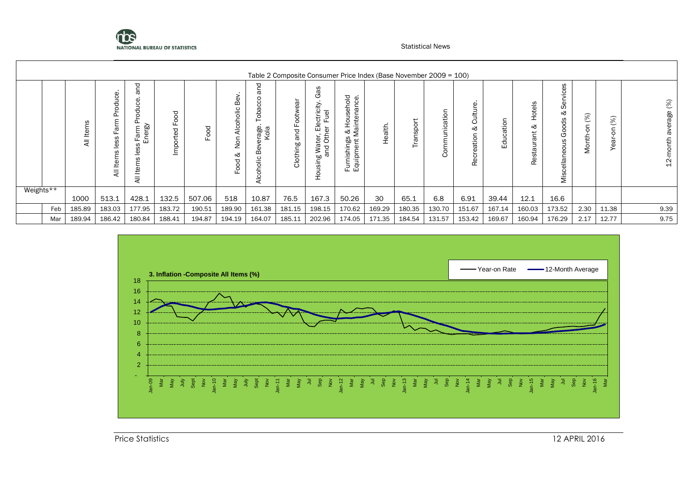

|           |     |         |                                                                         |                                                                         |                                |        |                                                     |                                                                                                       |                                    |                                                                                                |                                                                                             |         | Table 2 Composite Consumer Price Index (Base November 2009 = 100) |                                 |                                       |                     |                                    |                                                                                        |                                 |                |                                            |
|-----------|-----|---------|-------------------------------------------------------------------------|-------------------------------------------------------------------------|--------------------------------|--------|-----------------------------------------------------|-------------------------------------------------------------------------------------------------------|------------------------------------|------------------------------------------------------------------------------------------------|---------------------------------------------------------------------------------------------|---------|-------------------------------------------------------------------|---------------------------------|---------------------------------------|---------------------|------------------------------------|----------------------------------------------------------------------------------------|---------------------------------|----------------|--------------------------------------------|
|           |     | Le<br>₹ | uce<br>℧<br>æ<br>SS<br>$\overline{\mathfrak{v}}$<br>은<br>$\overline{a}$ | 짇<br>ω<br>d)<br>Ō<br>ᅙ<br>$\circ$<br>Energy<br>arm<br>ш.<br>Φ<br>卷<br>₹ | ञ<br>O<br>Ō<br>ш.<br>℧<br>mpol | Food   | Φ<br>$\mathbf{m}$<br>olic<br>Alcoh<br>Non<br>ళ<br>ਨ | ⊃<br>ω<br>$\mathfrak{c}$<br>π<br>$\Omega$<br>$\circ$<br>rage<br>Kola<br>Φ<br>⋒<br>olic<br>둥<br>ই<br>ব | ಹ<br>Ф<br>Footw<br>pue<br>Clothing | 8g<br>৩<br>sctricity.<br>Fuel<br>읍<br>৯<br>g Water,<br>and Oth<br>۵٥<br>.<br>w<br>$\circ$<br>᠇ | 으<br>ပ္ပ<br>$\circ$<br>ā<br>훕<br>laintena<br>Ō<br>운<br>∛ ≳<br>ഗ<br>Furnishings<br>Equipment | Health. | $\circ$<br>≏<br>rans<br>⊢                                         | ਠੋ<br>nicatio<br>∖∃<br>Ξ<br>Com | Φ<br>ultu<br>Ō<br>∞<br>reation<br>Rec | tion<br>σ<br>ပ<br>묘 | Hotels<br>ళ<br>trie<br>∖∃<br>Resta | 8<br>$\frac{5}{2}$<br>Φ<br>Ō<br>∞<br>ods<br>$\circ$<br>ত<br>ä<br>Ф<br>ellan<br>Θ<br>is | (%)<br>$\overline{5}$<br>Month- | (%)<br>g<br>69 | (%)<br>rage<br>nth<br>$\mathbf{\sim}$<br>H |
| Weights** |     | 1000    | 513.1                                                                   | 428.1                                                                   | 132.5                          | 507.06 | 518                                                 | 10.87                                                                                                 | 76.5                               | 167.3                                                                                          | 50.26                                                                                       | 30      | 65.1                                                              | 6.8                             | 6.91                                  | 39.44               | 12.1                               | 16.6                                                                                   |                                 |                |                                            |
|           | Feb | 185.89  | 183.03                                                                  | 177.95                                                                  | 183.72                         | 190.51 | 189.90                                              | 161.38                                                                                                | 181.15                             | 198.15                                                                                         | 170.62                                                                                      | 169.29  | 180.35                                                            | 130.70                          | 151.67                                | 167.14              | 160.03                             | 173.52                                                                                 | 2.30                            | 11.38          | 9.39                                       |
|           | Mar | 189.94  | 186.42                                                                  | 180.84                                                                  | 188.41                         | 194.87 | 194.19                                              | 164.07                                                                                                | 185.11                             | 202.96                                                                                         | 174.05                                                                                      | 171.35  | 184.54                                                            | 131.57                          | 153.42                                | 169.67              | 160.94                             | 176.29                                                                                 | 2.17                            | 12.77          | 9.75                                       |

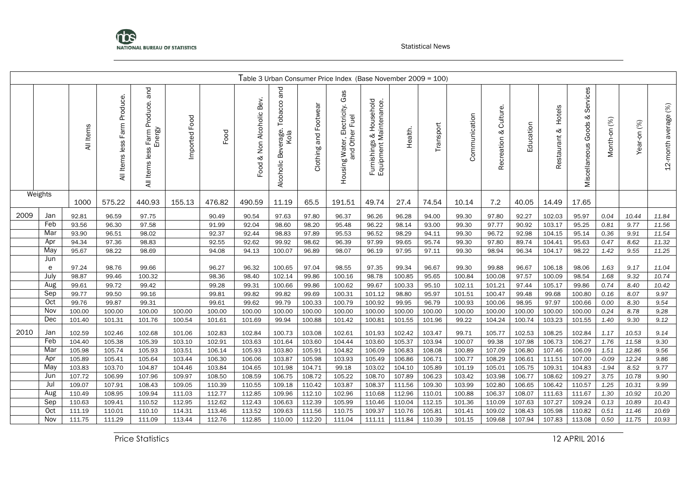

|      |          |           |                                    |                                               |               |        |                           |                                                    |                       | Table 3 Urban Consumer Price Index (Base November 2009 = 100)    |                                                   |         |           |               |                             |           |                        |                                         |              |             |                      |
|------|----------|-----------|------------------------------------|-----------------------------------------------|---------------|--------|---------------------------|----------------------------------------------------|-----------------------|------------------------------------------------------------------|---------------------------------------------------|---------|-----------|---------------|-----------------------------|-----------|------------------------|-----------------------------------------|--------------|-------------|----------------------|
|      |          | All Items | Produce.<br>Farm<br>All Items less | Farm Produce. and<br>Energy<br>All Items less | Imported Food | Food   | Food & Non Alcoholic Bev. | and<br>Tobacco<br>: Beverage.<br>Kola<br>Alcoholic | Clothing and Footwear | Gas<br>Electricity.<br>Housing Water, Electric<br>and Other Fuel | Furnishings & Household<br>Equipment Maintenance. | Health. | Transport | Communication | Culture.<br>ಳ<br>Recreation | Education | Hotels<br>Restaurant & | Services<br>ಳ<br>Goods<br>Miscellaneous | Month-on (%) | Year-on (%) | 12-month average (%) |
|      | Weights  | 1000      | 575.22                             | 440.93                                        | 155.13        | 476.82 | 490.59                    | 11.19                                              | 65.5                  | 191.51                                                           | 49.74                                             | 27.4    | 74.54     | 10.14         | 7.2                         | 40.05     | 14.49                  | 17.65                                   |              |             |                      |
| 2009 | Jan      | 92.81     | 96.59                              | 97.75                                         |               | 90.49  | 90.54                     | 97.63                                              | 97.80                 | 96.37                                                            | 96.26                                             | 96.28   | 94.00     | 99.30         | 97.80                       | 92.27     | 102.03                 | 95.97                                   | 0.04         | 10.44       | 11.84                |
|      | Feb      | 93.56     | 96.30                              | 97.58                                         |               | 91.99  | 92.04                     | 98.60                                              | 98.20                 | 95.48                                                            | 96.22                                             | 98.14   | 93.00     | 99.30         | 97.77                       | 90.92     | 103.17                 | 95.25                                   | 0.81         | 9.77        | 11.56                |
|      | Mar      | 93.90     | 96.51                              | 98.02                                         |               | 92.37  | 92.44                     | 98.83                                              | 97.89                 | 95.53                                                            | 96.52                                             | 98.29   | 94.11     | 99.30         | 96.72                       | 92.98     | 104.15                 | 95.14                                   | 0.36         | 9.91        | 11.54                |
|      | Apr      | 94.34     | 97.36                              | 98.83                                         |               | 92.55  | 92.62                     | 99.92                                              | 98.62                 | 96.39                                                            | 97.99                                             | 99.65   | 95.74     | 99.30         | 97.80                       | 89.74     | 104.41                 | 95.63                                   | 0.47         | 8.62        | 11.32                |
|      | May      | 95.67     | 98.22                              | 98.69                                         |               | 94.08  | 94.13                     | 100.07                                             | 96.89                 | 98.07                                                            | 96.19                                             | 97.95   | 97.11     | 99.30         | 98.94                       | 96.34     | 104.17                 | 98.22                                   | 1.42         | 9.55        | 11.25                |
|      | Jun<br>e | 97.24     | 98.76                              | 99.66                                         |               | 96.27  | 96.32                     | 100.65                                             | 97.04                 | 98.55                                                            | 97.35                                             | 99.34   | 96.67     | 99.30         | 99.88                       | 96.67     | 106.18                 | 98.06                                   | 1.63         | 9.17        | 11.04                |
|      | July     | 98.87     | 99.46                              | 100.32                                        |               | 98.36  | 98.40                     | 102.14                                             | 99.86                 | 100.16                                                           | 98.78                                             | 100.85  | 95.65     | 100.84        | 100.08                      | 97.57     | 100.09                 | 98.54                                   | 1.68         | 9.32        | 10.74                |
|      | Aug      | 99.61     | 99.72                              | 99.42                                         |               | 99.28  | 99.31                     | 100.66                                             | 99.86                 | 100.62                                                           | 99.67                                             | 100.33  | 95.10     | 102.11        | 101.21                      | 97.44     | 105.17                 | 99.86                                   | 0.74         | 8.40        | 10.42                |
|      | Sep      | 99.77     | 99.50                              | 99.16                                         |               | 99.81  | 99.82                     | 99.82                                              | 99.69                 | 100.31                                                           | 101.12                                            | 98.80   | 95.97     | 101.51        | 100.47                      | 99.48     | 99.68                  | 100.80                                  | 0.16         | 8.07        | 9.97                 |
|      | Oct      | 99.76     | 99.87                              | 99.31                                         |               | 99.61  | 99.62                     | 99.79                                              | 100.33                | 100.79                                                           | 100.92                                            | 99.95   | 96.79     | 100.93        | 100.06                      | 98.95     | 97.97                  | 100.66                                  | 0.00         | 8.30        | 9.54                 |
|      | Nov      | 100.00    | 100.00                             | 100.00                                        | 100.00        | 100.00 | 100.00                    | 100.00                                             | 100.00                | 100.00                                                           | 100.00                                            | 100.00  | 100.00    | 100.00        | 100.00                      | 100.00    | 100.00                 | 100.00                                  | 0.24         | 8.78        | 9.28                 |
|      | Dec      | 101.40    | 101.31                             | 101.76                                        | 100.54        | 101.61 | 101.69                    | 99.94                                              | 100.88                | 101.42                                                           | 100.81                                            | 101.55  | 101.96    | 99.22         | 104.24                      | 100.74    | 103.23                 | 101.55                                  | 1.40         | 9.30        | 9.12                 |
| 2010 | Jan      | 102.59    | 102.46                             | 102.68                                        | 101.06        | 102.83 | 102.84                    | 100.73                                             | 103.08                | 102.61                                                           | 101.93                                            | 102.42  | 103.47    | 99.71         | 105.77                      | 102.53    | 108.25                 | 102.84                                  | 1.17         | 10.53       | 9.14                 |
|      | Feb      | 104.40    | 105.38                             | 105.39                                        | 103.10        | 102.91 | 103.63                    | 101.64                                             | 103.60                | 104.44                                                           | 103.60                                            | 105.37  | 103.94    | 100.07        | 99.38                       | 107.98    | 106.73                 | 106.27                                  | 1.76         | 11.58       | 9.30                 |
|      | Mar      | 105.98    | 105.74                             | 105.93                                        | 103.51        | 106.14 | 105.93                    | 103.80                                             | 105.91                | 104.82                                                           | 106.09                                            | 106.83  | 108.08    | 100.89        | 107.09                      | 106.80    | 107.46                 | 106.09                                  | 1.51         | 12.86       | 9.56                 |
|      | Apr      | 105.89    | 105.41                             | 105.64                                        | 103.44        | 106.30 | 106.06                    | 103.87                                             | 105.98                | 103.93                                                           | 105.49                                            | 106.86  | 106.71    | 100.77        | 108.29                      | 106.61    | 111.51                 | 107.00                                  | $-0.09$      | 12.24       | 9.86                 |
|      | May      | 103.83    | 103.70                             | 104.87                                        | 104.46        | 103.84 | 104.65                    | 101.98                                             | 104.71                | 99.18                                                            | 103.02                                            | 104.10  | 105.89    | 101.19        | 105.01                      | 105.75    | 109.31                 | 104.83                                  | $-1.94$      | 8.52        | 9.77                 |
|      | Jun      | 107.72    | 106.99                             | 107.96                                        | 109.97        | 108.50 | 108.59                    | 106.75                                             | 108.72                | 105.22                                                           | 108.70                                            | 107.89  | 106.23    | 103.42        | 103.98                      | 106.77    | 108.62                 | 109.27                                  | 3.75         | 10.78       | 9.90                 |
|      | Jul      | 109.07    | 107.91                             | 108.43                                        | 109.05        | 110.39 | 110.55                    | 109.18                                             | 110.42                | 103.87                                                           | 108.37                                            | 111.56  | 109.30    | 103.99        | 102.80                      | 106.65    | 106.42                 | 110.57                                  | 1.25         | 10.31       | 9.99                 |
|      | Aug      | 110.49    | 108.95                             | 109.94                                        | 111.03        | 112.77 | 112.85                    | 109.96                                             | 112.10                | 102.96                                                           | 110.68                                            | 112.96  | 110.01    | 100.88        | 106.37                      | 108.07    | 111.63                 | 111.67                                  | 1.30         | 10.92       | 10.20                |
|      | Sep      | 110.63    | 109.41                             | 110.52                                        | 112.95        | 112.62 | 112.43                    | 106.63                                             | 112.39                | 105.99                                                           | 110.46                                            | 110.04  | 112.15    | 101.36        | 110.09                      | 107.63    | 107.27                 | 109.24                                  | 0.13         | 10.89       | 10.43                |
|      | Oct      | 111.19    | 110.01                             | 110.10                                        | 114.31        | 113.46 | 113.52                    | 109.63                                             | 111.56                | 110.75                                                           | 109.37                                            | 110.76  | 105.81    | 101.41        | 109.02                      | 108.43    | 105.98                 | 110.82                                  | 0.51         | 11.46       | 10.69                |
|      | Nov      | 111.75    | 111.29                             | 111.09                                        | 113.44        | 112.76 | 112.85                    | 110.00                                             | 112.20                | 111.04                                                           | 111.11                                            | 111.84  | 110.39    | 101.15        | 109.68                      | 107.94    | 107.83                 | 113.08                                  | 0.50         | 11.75       | 10.93                |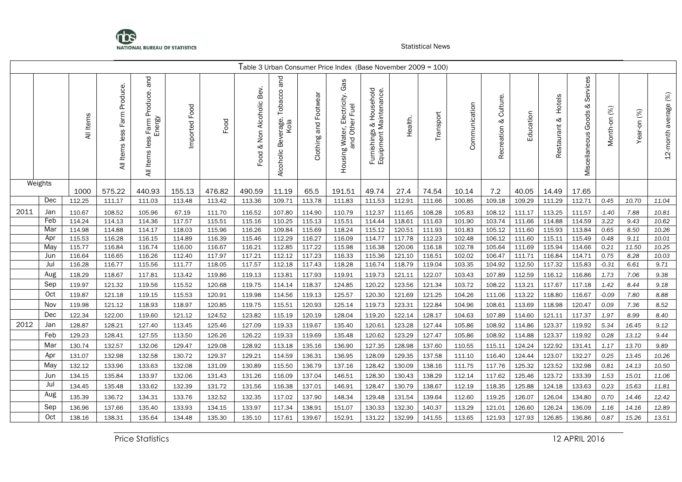

|      |         |           |                                    |                                               |               |        |                                 |                                                  |                       | Table 3 Urban Consumer Price Index (Base November 2009 = 100)      |                                                                |         |           |               |                             |           |                           |                                         |                           |             |                         |
|------|---------|-----------|------------------------------------|-----------------------------------------------|---------------|--------|---------------------------------|--------------------------------------------------|-----------------------|--------------------------------------------------------------------|----------------------------------------------------------------|---------|-----------|---------------|-----------------------------|-----------|---------------------------|-----------------------------------------|---------------------------|-------------|-------------------------|
|      |         | All Items | Produce.<br>Farm<br>All Items less | and<br>All Items less Farm Produce.<br>Energy | Imported Food | Food   | Bev.<br>& Non Alcoholic<br>Food | pue<br>Tobacco<br>Beverage.<br>Kola<br>Alcoholic | Clothing and Footwear | βg<br>פ<br>Electricity.<br>Fuel<br>Housing Water, Ele<br>and Other | Household<br>Furnishings & Household<br>Equipment Maintenance. | Health. | Transport | Communication | Culture.<br>જ<br>Recreation | Education | Hotels<br>ಳ<br>Restaurant | Services<br>ళ<br>Goods<br>Miscellaneous | $\mathcal{E}$<br>Month-on | Year-on (%) | average (%)<br>12-month |
|      | Weights | 1000      | 575.22                             | 440.93                                        | 155.13        | 476.82 | 490.59                          | 11.19                                            | 65.5                  | 191.51                                                             | 49.74                                                          | 27.4    | 74.54     | 10.14         | 7.2                         | 40.05     | 14.49                     | 17.65                                   |                           |             |                         |
|      | Dec     | 112.25    | 111.17                             | 111.03                                        | 113.48        | 113.42 | 113.36                          | 109.71                                           | 113.78                | 111.83                                                             | 111.53                                                         | 112.91  | 111.66    | 100.85        | 109.18                      | 109.29    | 111.29                    | 112.71                                  | 0.45                      | 10.70       | 11.04                   |
| 2011 | Jan     | 110.67    | 108.52                             | 105.96                                        | 67.19         | 111.70 | 116.52                          | 107.80                                           | 114.90                | 110.79                                                             | 112.37                                                         | 111.65  | 108.28    | 105.83        | 108.12                      | 111.17    | 113.25                    | 111.57                                  | $-1.40$                   | 7.88        | 10.81                   |
|      | Feb     | 114.24    | 114.13                             | 114.36                                        | 117.57        | 115.51 | 115.16                          | 110.25                                           | 115.13                | 115.51                                                             | 114.44                                                         | 118.61  | 111.63    | 101.90        | 103.74                      | 111.66    | 114.88                    | 114.59                                  | 3.22                      | 9.43        | 10.62                   |
|      | Mar     | 114.98    | 114.88                             | 114.17                                        | 118.03        | 115.96 | 116.26                          | 109.84                                           | 115.69                | 118.24                                                             | 115.12                                                         | 120.51  | 111.93    | 101.83        | 105.12                      | 111.60    | 115.93                    | 113.84                                  | 0.65                      | 8.50        | 10.26                   |
|      | Apr     | 115.53    | 116.28                             | 116.15                                        | 114.89        | 116.39 | 115.46                          | 112.29                                           | 116.27                | 116.09                                                             | 114.77                                                         | 117.78  | 112.23    | 102.48        | 106.12                      | 111.60    | 115.11                    | 115.49                                  | 0.48                      | 9.11        | 10.01                   |
|      | May     | 115.77    | 116.84                             | 116.74                                        | 116.00        | 116.67 | 116.21                          | 112.85                                           | 117.22                | 115.98                                                             | 116.38                                                         | 120.06  | 116.18    | 102.78        | 105.64                      | 111.69    | 115.94                    | 114.66                                  | 0.21                      | 11.50       | 10.25                   |
|      | Jun     | 116.64    | 116.65                             | 116.26                                        | 112.40        | 117.97 | 117.21                          | 112.12                                           | 117.23                | 116.33                                                             | 115.36                                                         | 121.10  | 116.51    | 102.02        | 106.47                      | 111.71    | 116.84                    | 114.71                                  | 0.75                      | 8.28        | 10.03                   |
|      | Jul     | 116.28    | 116.77                             | 115.56                                        | 111.77        | 118.05 | 117.57                          | 112.18                                           | 117.43                | 118.28                                                             | 116.74                                                         | 118.79  | 119.04    | 103.35        | 104.92                      | 112.50    | 117.32                    | 115.83                                  | $-0.31$                   | 6.61        | 9.71                    |
|      | Aug     | 118.29    | 118.67                             | 117.81                                        | 113.42        | 119.86 | 119.13                          | 113.81                                           | 117.93                | 119.91                                                             | 119.73                                                         | 121.11  | 122.07    | 103.43        | 107.89                      | 112.59    | 116.12                    | 116.86                                  | 1.73                      | 7.06        | 9.38                    |
|      | Sep     | 119.97    | 121.32                             | 119.56                                        | 115.52        | 120.68 | 119.75                          | 114.14                                           | 118.37                | 124.85                                                             | 120.22                                                         | 123.56  | 121.34    | 103.72        | 108.22                      | 113.21    | 117.67                    | 117.18                                  | 1.42                      | 8.44        | 9.18                    |
|      | Oct     | 119.87    | 121.18                             | 119.15                                        | 115.53        | 120.91 | 119.98                          | 114.56                                           | 119.13                | 125.57                                                             | 120.30                                                         | 121.69  | 121.25    | 104.26        | 111.06                      | 113.22    | 118.80                    | 116.67                                  | $-0.09$                   | 7.80        | 8.88                    |
|      | Nov     | 119.98    | 121.12                             | 118.93                                        | 118.97        | 120.85 | 119.75                          | 115.51                                           | 120.93                | 125.14                                                             | 119.73                                                         | 123.31  | 122.84    | 104.96        | 108.61                      | 113.69    | 118.98                    | 120.47                                  | 0.09                      | 7.36        | 8.52                    |
|      | Dec     | 122.34    | 122.00                             | 119.60                                        | 121.12        | 124.52 | 123.82                          | 115.19                                           | 120.19                | 128.04                                                             | 119.20                                                         | 122.14  | 128.17    | 104.63        | 107.89                      | 114.60    | 121.11                    | 117.37                                  | 1.97                      | 8.99        | 8.40                    |
| 2012 | Jan     | 128.87    | 128.21                             | 127.40                                        | 113.45        | 125.46 | 127.09                          | 119.33                                           | 119.67                | 135.40                                                             | 120.61                                                         | 123.28  | 127.44    | 105.86        | 108.92                      | 114.86    | 123.37                    | 119.92                                  | 5.34                      | 16.45       | 9.12                    |
|      | Feb     | 129.23    | 128.41                             | 127.55                                        | 113.50        | 126.26 | 126.22                          | 119.33                                           | 119.69                | 135.48                                                             | 120.62                                                         | 123.29  | 127.47    | 105.86        | 108.92                      | 114.88    | 123.37                    | 119.92                                  | 0.28                      | 13.12       | 9.44                    |
|      | Mar     | 130.74    | 132.57                             | 132.06                                        | 129.47        | 129.08 | 128.92                          | 113.18                                           | 135.16                | 136.90                                                             | 127.35                                                         | 128.98  | 137.60    | 110.55        | 115.11                      | 124.24    | 122.92                    | 131.41                                  | 1.17                      | 13.70       | 9.89                    |
|      | Apr     | 131.07    | 132.98                             | 132.58                                        | 130.72        | 129.37 | 129.21                          | 114.59                                           | 136.31                | 136.95                                                             | 128.09                                                         | 129.35  | 137.58    | 111.10        | 116.40                      | 124.44    | 123.07                    | 132.27                                  | 0.25                      | 13.45       | 10.26                   |
|      | May     | 132.12    | 133.96                             | 133.63                                        | 132.08        | 131.09 | 130.89                          | 115.50                                           | 136.79                | 137.16                                                             | 128.42                                                         | 130.09  | 138.16    | 111.75        | 117.76                      | 125.32    | 123.52                    | 132.98                                  | 0.81                      | 14.13       | 10.50                   |
|      | Jun     | 134.15    | 135.84                             | 133.97                                        | 132.06        | 131.43 | 131.26                          | 116.09                                           | 137.04                | 146.51                                                             | 128.30                                                         | 130.43  | 138.29    | 112.14        | 117.62                      | 125.46    | 123.72                    | 133.39                                  | 1.53                      | 15.01       | 11.06                   |
|      | Jul     | 134.45    | 135.48                             | 133.62                                        | 132.39        | 131.72 | 131.56                          | 116.38                                           | 137.01                | 146.91                                                             | 128.47                                                         | 130.79  | 138.67    | 112.19        | 118.35                      | 125.88    | 124.18                    | 133.63                                  | 0.23                      | 15.63       | 11.81                   |
|      | Aug     | 135.39    | 136.72                             | 134.31                                        | 133.76        | 132.52 | 132.35                          | 117.02                                           | 137.90                | 148.34                                                             | 129.48                                                         | 131.54  | 139.64    | 112.60        | 119.25                      | 126.07    | 126.04                    | 134.80                                  | 0.70                      | 14.46       | 12.42                   |
|      | Sep     | 136.96    | 137.66                             | 135.40                                        | 133.93        | 134.15 | 133.97                          | 117.34                                           | 138.91                | 151.07                                                             | 130.33                                                         | 132.30  | 140.37    | 113.29        | 121.01                      | 126.60    | 126.24                    | 136.09                                  | 1.16                      | 14.16       | 12.89                   |
|      | Oct     | 138.16    | 138.31                             | 135.64                                        | 134.48        | 135.30 | 135.10                          | 117.61                                           | 139.67                | 152.91                                                             | 131.22                                                         | 132.99  | 141.55    | 113.65        | 121.93                      | 127.93    | 126.85                    | 136.86                                  | 0.87                      | 15.26       | 13.51                   |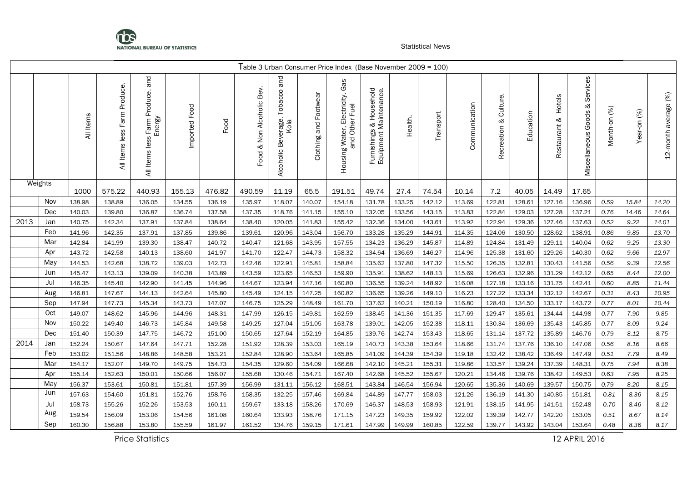

|      |         |           |                                 |                                               |                  |        |                                 |                                                  |                       | Table 3 Urban Consumer Price Index (Base November 2009 = 100)      |                                                                          |         |           |               |                             |           |                        |                                      |                 |             |                      |
|------|---------|-----------|---------------------------------|-----------------------------------------------|------------------|--------|---------------------------------|--------------------------------------------------|-----------------------|--------------------------------------------------------------------|--------------------------------------------------------------------------|---------|-----------|---------------|-----------------------------|-----------|------------------------|--------------------------------------|-----------------|-------------|----------------------|
|      |         | All Items | Produce.<br>All Items less Farm | and<br>All Items less Farm Produce.<br>Energy | Food<br>Imported | Food   | Bev.<br>& Non Alcoholic<br>Food | and<br>Tobacco<br>Beverage.<br>Kola<br>Alcoholic | Clothing and Footwear | Gε<br>O<br>Electricity.<br>Fuel<br>Housing Water, Ele<br>and Other | Household<br>s & Household<br>Maintenance.<br>Furnishings<br>Equipment N | Health. | Transport | Communication | Culture.<br>જ<br>Recreation | Education | Hotels<br>Restaurant & | Services<br>જ<br>Miscellaneous Goods | (%)<br>Month-on | Year-on (%) | 12-month average (%) |
|      | Weights | 1000      | 575.22                          | 440.93                                        | 155.13           | 476.82 | 490.59                          | 11.19                                            | 65.5                  | 191.51                                                             | 49.74                                                                    | 27.4    | 74.54     | 10.14         | 7.2                         | 40.05     | 14.49                  | 17.65                                |                 |             |                      |
|      | Nov     | 138.98    | 138.89                          | 136.05                                        | 134.55           | 136.19 | 135.97                          | 118.07                                           | 140.07                | 154.18                                                             | 131.78                                                                   | 133.25  | 142.12    | 113.69        | 122.81                      | 128.61    | 127.16                 | 136.96                               | 0.59            | 15.84       | 14.20                |
|      | Dec     | 140.03    | 139.80                          | 136.87                                        | 136.74           | 137.58 | 137.35                          | 118.76                                           | 141.15                | 155.10                                                             | 132.05                                                                   | 133.56  | 143.15    | 113.83        | 122.84                      | 129.03    | 127.28                 | 137.21                               | 0.76            | 14.46       | 14.64                |
| 2013 | Jan     | 140.75    | 142.34                          | 137.91                                        | 137.84           | 138.64 | 138.40                          | 120.05                                           | 141.83                | 155.42                                                             | 132.36                                                                   | 134.00  | 143.61    | 113.92        | 122.94                      | 129.36    | 127.46                 | 137.63                               | 0.52            | 9.22        | 14.01                |
|      | Feb     | 141.96    | 142.35                          | 137.91                                        | 137.85           | 139.86 | 139.61                          | 120.96                                           | 143.04                | 156.70                                                             | 133.28                                                                   | 135.29  | 144.91    | 114.35        | 124.06                      | 130.50    | 128.62                 | 138.91                               | 0.86            | 9.85        | 13.70                |
|      | Mar     | 142.84    | 141.99                          | 139.30                                        | 138.47           | 140.72 | 140.47                          | 121.68                                           | 143.95                | 157.55                                                             | 134.23                                                                   | 136.29  | 145.87    | 114.89        | 124.84                      | 131.49    | 129.11                 | 140.04                               | 0.62            | 9.25        | 13.30                |
|      | Apr     | 143.72    | 142.58                          | 140.13                                        | 138.60           | 141.97 | 141.70                          | 122.47                                           | 144.73                | 158.32                                                             | 134.64                                                                   | 136.69  | 146.27    | 114.96        | 125.38                      | 131.60    | 129.26                 | 140.30                               | 0.62            | 9.66        | 12.97                |
|      | May     | 144.53    | 142.68                          | 138.72                                        | 139.03           | 142.73 | 142.46                          | 122.91                                           | 145.81                | 158.84                                                             | 135.62                                                                   | 137.80  | 147.32    | 115.50        | 126.35                      | 132.81    | 130.43                 | 141.56                               | 0.56            | 9.39        | 12.56                |
|      | Jun     | 145.47    | 143.13                          | 139.09                                        | 140.38           | 143.89 | 143.59                          | 123.65                                           | 146.53                | 159.90                                                             | 135.91                                                                   | 138.62  | 148.13    | 115.69        | 126.63                      | 132.96    | 131.29                 | 142.12                               | 0.65            | 8.44        | 12.00                |
|      | Jul     | 146.35    | 145.40                          | 142.90                                        | 141.45           | 144.96 | 144.67                          | 123.94                                           | 147.16                | 160.80                                                             | 136.55                                                                   | 139.24  | 148.92    | 116.08        | 127.18                      | 133.16    | 131.75                 | 142.41                               | 0.60            | 8.85        | 11.44                |
|      | Aug     | 146.81    | 147.67                          | 144.13                                        | 142.64           | 145.80 | 145.49                          | 124.15                                           | 147.25                | 160.82                                                             | 136.65                                                                   | 139.26  | 149.10    | 116.23        | 127.22                      | 133.34    | 132.12                 | 142.67                               | 0.31            | 8.43        | 10.95                |
|      | Sep     | 147.94    | 147.73                          | 145.34                                        | 143.73           | 147.07 | 146.75                          | 125.29                                           | 148.49                | 161.70                                                             | 137.62                                                                   | 140.21  | 150.19    | 116.80        | 128.40                      | 134.50    | 133.17                 | 143.72                               | 0.77            | 8.01        | 10.44                |
|      | Oct     | 149.07    | 148.62                          | 145.96                                        | 144.96           | 148.31 | 147.99                          | 126.15                                           | 149.81                | 162.59                                                             | 138.45                                                                   | 141.36  | 151.35    | 117.69        | 129.47                      | 135.61    | 134.44                 | 144.98                               | 0.77            | 7.90        | 9.85                 |
|      | Nov     | 150.22    | 149.40                          | 146.73                                        | 145.84           | 149.58 | 149.25                          | 127.04                                           | 151.05                | 163.78                                                             | 139.01                                                                   | 142.05  | 152.38    | 118.11        | 130.34                      | 136.69    | 135.43                 | 145.85                               | 0.77            | 8.09        | 9.24                 |
|      | Dec     | 151.40    | 150.39                          | 147.75                                        | 146.72           | 151.00 | 150.65                          | 127.64                                           | 152.19                | 164.85                                                             | 139.76                                                                   | 142.74  | 153.43    | 118.65        | 131.14                      | 137.72    | 135.89                 | 146.76                               | 0.79            | 8.12        | 8.75                 |
| 2014 | Jan     | 152.24    | 150.67                          | 147.64                                        | 147.71           | 152.28 | 151.92                          | 128.39                                           | 153.03                | 165.19                                                             | 140.73                                                                   | 143.38  | 153.64    | 118.66        | 131.74                      | 137.76    | 136.10                 | 147.06                               | 0.56            | 8.16        | 8.66                 |
|      | Feb     | 153.02    | 151.56                          | 148.86                                        | 148.58           | 153.21 | 152.84                          | 128.90                                           | 153.64                | 165.85                                                             | 141.09                                                                   | 144.39  | 154.39    | 119.18        | 132.42                      | 138.42    | 136.49                 | 147.49                               | 0.51            | 7.79        | 8.49                 |
|      | Mar     | 154.17    | 152.07                          | 149.70                                        | 149.75           | 154.73 | 154.35                          | 129.60                                           | 154.09                | 166.68                                                             | 142.10                                                                   | 145.21  | 155.31    | 119.86        | 133.57                      | 139.24    | 137.39                 | 148.31                               | 0.75            | 7.94        | 8.38                 |
|      | Apr     | 155.14    | 152.63                          | 150.01                                        | 150.66           | 156.07 | 155.68                          | 130.46                                           | 154.71                | 167.40                                                             | 142.68                                                                   | 145.52  | 155.67    | 120.21        | 134.46                      | 139.76    | 138.42                 | 149.53                               | 0.63            | 7.95        | 8.25                 |
|      | May     | 156.37    | 153.61                          | 150.81                                        | 151.81           | 157.39 | 156.99                          | 131.11                                           | 156.12                | 168.51                                                             | 143.84                                                                   | 146.54  | 156.94    | 120.65        | 135.36                      | 140.69    | 139.57                 | 150.75                               | 0.79            | 8.20        | 8.15                 |
|      | Jun     | 157.63    | 154.60                          | 151.81                                        | 152.76           | 158.76 | 158.35                          | 132.25                                           | 157.46                | 169.84                                                             | 144.89                                                                   | 147.77  | 158.03    | 121.26        | 136.19                      | 141.30    | 140.85                 | 151.81                               | 0.81            | 8.36        | 8.15                 |
|      | Jul     | 158.73    | 155.26                          | 152.26                                        | 153.53           | 160.11 | 159.67                          | 133.18                                           | 158.26                | 170.69                                                             | 146.37                                                                   | 148.53  | 158.93    | 121.91        | 138.15                      | 141.95    | 141.51                 | 152.48                               | 0.70            | 8.46        | 8.12                 |
|      | Aug     | 159.54    | 156.09                          | 153.06                                        | 154.56           | 161.08 | 160.64                          | 133.93                                           | 158.76                | 171.15                                                             | 147.23                                                                   | 149.35  | 159.92    | 122.02        | 139.39                      | 142.77    | 142.20                 | 153.05                               | 0.51            | 8.67        | 8.14                 |
|      | Sep     | 160.30    | 156.88                          | 153.80                                        | 155.59           | 161.97 | 161.52                          | 134.76                                           | 159.15                | 171.61                                                             | 147.99                                                                   | 149.99  | 160.85    | 122.59        | 139.77                      | 143.92    | 143.04                 | 153.64                               | 0.48            | 8.36        | 8.17                 |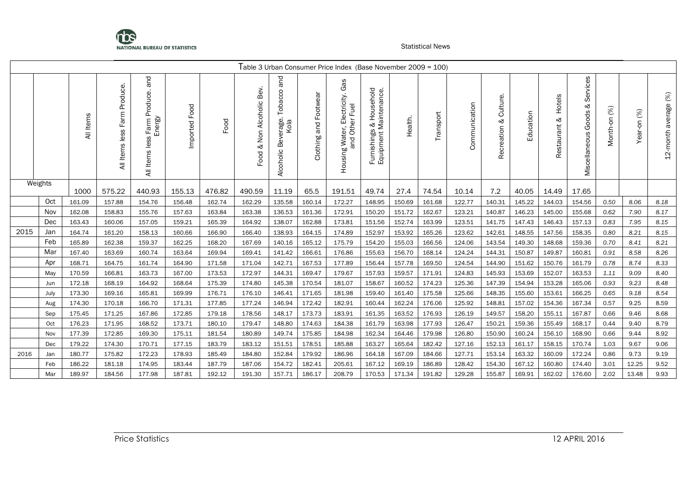

|      |         |            |                                 |                                                        |                  |        |                                       |                                                  |                             | Table 3 Urban Consumer Price Index (Base November 2009 = 100)      |                                                                          |         |           |               |                             |           |                           |                                         |                   |                |                         |
|------|---------|------------|---------------------------------|--------------------------------------------------------|------------------|--------|---------------------------------------|--------------------------------------------------|-----------------------------|--------------------------------------------------------------------|--------------------------------------------------------------------------|---------|-----------|---------------|-----------------------------|-----------|---------------------------|-----------------------------------------|-------------------|----------------|-------------------------|
|      |         | Items<br>₹ | Produce.<br>All Items less Farm | and<br>Produce.<br>Energy<br>Farm<br>less<br>All Items | Food<br>Imported | Food   | Bev.<br>Alcoholic<br>Non<br>ళ<br>Food | and<br>Tobacco<br>Beverage.<br>Kola<br>Alcoholic | Footwear<br>and<br>Clothing | 8g<br>৩<br>Electricity.<br>Fuel<br>à<br>Š<br>Housing Water,<br>and | Household<br>s & Household<br>Maintenance.<br>Furnishings<br>Equipment N | Health. | Transport | Communication | Culture.<br>ಳ<br>Recreation | Education | Hotels<br>ಳ<br>Restaurant | Services<br>ళ<br>Goods<br>Miscellaneous | $(%)$<br>Month-on | (%)<br>Year-on | average (%)<br>12-month |
|      | Weights | 1000       | 575.22                          | 440.93                                                 | 155.13           | 476.82 | 490.59                                | 11.19                                            | 65.5                        | 191.51                                                             | 49.74                                                                    | 27.4    | 74.54     | 10.14         | 7.2                         | 40.05     | 14.49                     | 17.65                                   |                   |                |                         |
|      | Oct     | 161.09     | 157.88                          | 154.76                                                 | 156.48           | 162.74 | 162.29                                | 135.58                                           | 160.14                      | 172.27                                                             | 148.95                                                                   | 150.69  | 161.68    | 122.77        | 140.31                      | 145.22    | 144.03                    | 154.56                                  | 0.50              | 8.06           | 8.18                    |
|      | Nov     | 162.08     | 158.83                          | 155.76                                                 | 157.63           | 163.84 | 163.38                                | 136.53                                           | 161.36                      | 172.91                                                             | 150.20                                                                   | 151.72  | 162.67    | 123.21        | 140.87                      | 146.23    | 145.00                    | 155.68                                  | 0.62              | 7.90           | 8.17                    |
|      | Dec     | 163.43     | 160.06                          | 157.05                                                 | 159.21           | 165.39 | 164.92                                | 138.07                                           | 162.88                      | 173.81                                                             | 151.56                                                                   | 152.74  | 163.99    | 123.51        | 141.75                      | 147.43    | 146.43                    | 157.13                                  | 0.83              | 7.95           | 8.15                    |
| 2015 | Jan     | 164.74     | 161.20                          | 158.13                                                 | 160.66           | 166.90 | 166.40                                | 138.93                                           | 164.15                      | 174.89                                                             | 152.97                                                                   | 153.92  | 165.26    | 123.62        | 142.61                      | 148.55    | 147.56                    | 158.35                                  | 0.80              | 8.21           | 8.15                    |
|      | Feb     | 165.89     | 162.38                          | 159.37                                                 | 162.25           | 168.20 | 167.69                                | 140.16                                           | 165.12                      | 175.79                                                             | 154.20                                                                   | 155.03  | 166.56    | 124.06        | 143.54                      | 149.30    | 148.68                    | 159.36                                  | 0.70              | 8.41           | 8.21                    |
|      | Mar     | 167.40     | 163.69                          | 160.74                                                 | 163.64           | 169.94 | 169.41                                | 141.42                                           | 166.61                      | 176.86                                                             | 155.63                                                                   | 156.70  | 168.14    | 124.24        | 144.31                      | 150.87    | 149.87                    | 160.81                                  | 0.91              | 8.58           | 8.26                    |
|      | Apr     | 168.71     | 164.75                          | 161.74                                                 | 164.90           | 171.58 | 171.04                                | 142.71                                           | 167.53                      | 177.89                                                             | 156.44                                                                   | 157.78  | 169.50    | 124.54        | 144.90                      | 151.62    | 150.76                    | 161.79                                  | 0.78              | 8.74           | 8.33                    |
|      | May     | 170.59     | 166.81                          | 163.73                                                 | 167.00           | 173.53 | 172.97                                | 144.31                                           | 169.47                      | 179.67                                                             | 157.93                                                                   | 159.57  | 171.91    | 124.83        | 145.93                      | 153.69    | 152.07                    | 163.53                                  | 1.11              | 9.09           | 8.40                    |
|      | Jun     | 172.18     | 168.19                          | 164.92                                                 | 168.64           | 175.39 | 174.80                                | 145.38                                           | 170.54                      | 181.07                                                             | 158.67                                                                   | 160.52  | 174.23    | 125.36        | 147.39                      | 154.94    | 153.28                    | 165.06                                  | 0.93              | 9.23           | 8.48                    |
|      | July    | 173.30     | 169.16                          | 165.81                                                 | 169.99           | 176.71 | 176.10                                | 146.41                                           | 171.65                      | 181.98                                                             | 159.40                                                                   | 161.40  | 175.58    | 125.66        | 148.35                      | 155.60    | 153.61                    | 166.25                                  | 0.65              | 9.18           | 8.54                    |
|      | Aug     | 174.30     | 170.18                          | 166.70                                                 | 171.31           | 177.85 | 177.24                                | 146.94                                           | 172.42                      | 182.91                                                             | 160.44                                                                   | 162.24  | 176.06    | 125.92        | 148.81                      | 157.02    | 154.36                    | 167.34                                  | 0.57              | 9.25           | 8.59                    |
|      | Sep     | 175.45     | 171.25                          | 167.86                                                 | 172.85           | 179.18 | 178.56                                | 148.17                                           | 173.73                      | 183.91                                                             | 161.35                                                                   | 163.52  | 176.93    | 126.19        | 149.57                      | 158.20    | 155.11                    | 167.87                                  | 0.66              | 9.46           | 8.68                    |
|      | Oct     | 176.23     | 171.95                          | 168.52                                                 | 173.71           | 180.10 | 179.47                                | 148.80                                           | 174.63                      | 184.38                                                             | 161.79                                                                   | 163.98  | 177.93    | 126.47        | 150.21                      | 159.36    | 155.49                    | 168.17                                  | 0.44              | 9.40           | 8.79                    |
|      | Nov     | 177.39     | 172.85                          | 169.30                                                 | 175.11           | 181.54 | 180.89                                | 149.74                                           | 175.85                      | 184.98                                                             | 162.34                                                                   | 164.46  | 179.98    | 126.80        | 150.90                      | 160.24    | 156.10                    | 168.90                                  | 0.66              | 9.44           | 8.92                    |
|      | Dec     | 179.22     | 174.30                          | 170.71                                                 | 177.15           | 183.79 | 183.12                                | 151.51                                           | 178.51                      | 185.88                                                             | 163.27                                                                   | 165.64  | 182.42    | 127.16        | 152.13                      | 161.17    | 158.15                    | 170.74                                  | 1.03              | 9.67           | 9.06                    |
| 2016 | Jan     | 180.77     | 175.82                          | 172.23                                                 | 178.93           | 185.49 | 184.80                                | 152.84                                           | 179.92                      | 186.96                                                             | 164.18                                                                   | 167.09  | 184.66    | 127.71        | 153.14                      | 163.32    | 160.09                    | 172.24                                  | 0.86              | 9.73           | 9.19                    |
|      | Feb     | 186.22     | 181.18                          | 174.95                                                 | 183.44           | 187.79 | 187.06                                | 154.72                                           | 182.41                      | 205.61                                                             | 167.12                                                                   | 169.19  | 186.89    | 128.42        | 154.30                      | 167.12    | 160.80                    | 174.40                                  | 3.01              | 12.25          | 9.52                    |
|      | Mar     | 189.97     | 184.56                          | 177.98                                                 | 187.81           | 192.12 | 191.30                                | 157.71                                           | 186.17                      | 208.79                                                             | 170.53                                                                   | 171.34  | 191.82    | 129.28        | 155.87                      | 169.91    | 162.02                    | 176.60                                  | 2.02              | 13.48          | 9.93                    |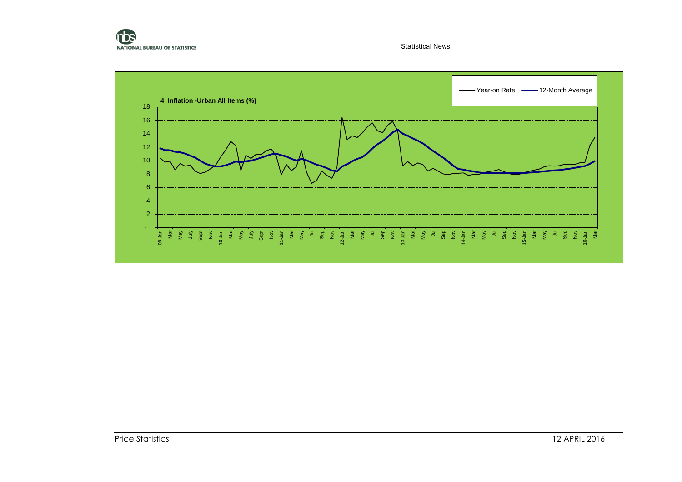

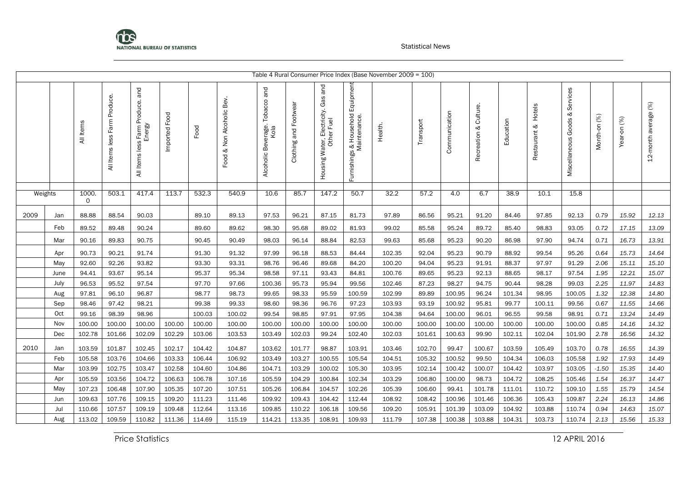

|         |      |                     |                                       |                                                 |               |        |                           |                                         |                       |                                                                    |                                                   | Table 4 Rural Consumer Price Index (Base November 2009 = 100) |           |               |                          |           |                        |                                      |              |             |                      |
|---------|------|---------------------|---------------------------------------|-------------------------------------------------|---------------|--------|---------------------------|-----------------------------------------|-----------------------|--------------------------------------------------------------------|---------------------------------------------------|---------------------------------------------------------------|-----------|---------------|--------------------------|-----------|------------------------|--------------------------------------|--------------|-------------|----------------------|
|         |      | All Items           | Produce.<br>Farm<br>less<br>All Items | . Farm Produce. and<br>Energy<br>All Items less | Imported Food | Food   | Food & Non Alcoholic Bev. | Alcoholic Beverage. Tobacco and<br>Kola | Clothing and Footwear | and<br>Gas<br>Electricity.<br>Ier Fuel<br>Housing Water, F<br>Othe | Furnishings & Household Equipment<br>Maintenance. | Health.                                                       | Transport | Communication | Culture.<br>Recreation & | Education | Hotels<br>Restaurant & | Services<br>ಳ<br>Miscellaneous Goods | Month-on (%) | Year-on (%) | 12-month average (%) |
| Weights |      | 1000<br>$\mathbf 0$ | 503.1                                 | 417.4                                           | 113.7         | 532.3  | 540.9                     | 10.6                                    | 85.7                  | 147.2                                                              | 50.7                                              | 32.2                                                          | 57.2      | 4.0           | 6.7                      | 38.9      | 10.1                   | 15.8                                 |              |             |                      |
| 2009    | Jan  | 88.88               | 88.54                                 | 90.03                                           |               | 89.10  | 89.13                     | 97.53                                   | 96.21                 | 87.15                                                              | 81.73                                             | 97.89                                                         | 86.56     | 95.21         | 91.20                    | 84.46     | 97.85                  | 92.13                                | 0.79         | 15.92       | 12.13                |
|         | Feb  | 89.52               | 89.48                                 | 90.24                                           |               | 89.60  | 89.62                     | 98.30                                   | 95.68                 | 89.02                                                              | 81.93                                             | 99.02                                                         | 85.58     | 95.24         | 89.72                    | 85.40     | 98.83                  | 93.05                                | 0.72         | 17.15       | 13.09                |
|         | Mar  | 90.16               | 89.83                                 | 90.75                                           |               | 90.45  | 90.49                     | 98.03                                   | 96.14                 | 88.84                                                              | 82.53                                             | 99.63                                                         | 85.68     | 95.23         | 90.20                    | 86.98     | 97.90                  | 94.74                                | 0.71         | 16.73       | 13.91                |
|         | Apr  | 90.73               | 90.21                                 | 91.74                                           |               | 91.30  | 91.32                     | 97.99                                   | 96.18                 | 88.53                                                              | 84.44                                             | 102.35                                                        | 92.04     | 95.23         | 90.79                    | 88.92     | 99.54                  | 95.26                                | 0.64         | 15.73       | 14.64                |
|         | May  | 92.60               | 92.26                                 | 93.82                                           |               | 93.30  | 93.31                     | 98.76                                   | 96.46                 | 89.68                                                              | 84.20                                             | 100.20                                                        | 94.04     | 95.23         | 91.91                    | 88.37     | 97.97                  | 91.29                                | 2.06         | 15.11       | 15.10                |
|         | June | 94.41               | 93.67                                 | 95.14                                           |               | 95.37  | 95.34                     | 98.58                                   | 97.11                 | 93.43                                                              | 84.81                                             | 100.76                                                        | 89.65     | 95.23         | 92.13                    | 88.65     | 98.17                  | 97.54                                | 1.95         | 12.21       | 15.07                |
|         | July | 96.53               | 95.52                                 | 97.54                                           |               | 97.70  | 97.66                     | 100.36                                  | 95.73                 | 95.94                                                              | 99.56                                             | 102.46                                                        | 87.23     | 98.27         | 94.75                    | 90.44     | 98.28                  | 99.03                                | 2.25         | 11.97       | 14.83                |
|         | Aug  | 97.81               | 96.10                                 | 96.87                                           |               | 98.77  | 98.73                     | 99.65                                   | 98.33                 | 95.59                                                              | 100.59                                            | 102.99                                                        | 89.89     | 100.95        | 96.24                    | 101.34    | 98.95                  | 100.05                               | 1.32         | 12.38       | 14.80                |
|         | Sep  | 98.46               | 97.42                                 | 98.21                                           |               | 99.38  | 99.33                     | 98.60                                   | 98.36                 | 96.76                                                              | 97.23                                             | 103.93                                                        | 93.19     | 100.92        | 95.81                    | 99.77     | 100.11                 | 99.56                                | 0.67         | 11.55       | 14.66                |
|         | Oct  | 99.16               | 98.39                                 | 98.96                                           |               | 100.03 | 100.02                    | 99.54                                   | 98.85                 | 97.91                                                              | 97.95                                             | 104.38                                                        | 94.64     | 100.00        | 96.01                    | 96.55     | 99.58                  | 98.91                                | 0.71         | 13.24       | 14.49                |
|         | Nov  | 100.00              | 100.00                                | 100.00                                          | 100.00        | 100.00 | 100.00                    | 100.00                                  | 100.00                | 100.00                                                             | 100.00                                            | 100.00                                                        | 100.00    | 100.00        | 100.00                   | 100.00    | 100.00                 | 100.00                               | 0.85         | 14.16       | 14.32                |
|         | Dec  | 102.78              | 101.66                                | 102.09                                          | 102.29        | 103.06 | 103.53                    | 103.49                                  | 102.03                | 99.24                                                              | 102.40                                            | 102.03                                                        | 101.61    | 100.63        | 99.90                    | 102.11    | 102.04                 | 101.90                               | 2.78         | 16.56       | 14.32                |
| 2010    | Jan  | 103.59              | 101.87                                | 102.45                                          | 102.17        | 104.42 | 104.87                    | 103.62                                  | 101.77                | 98.87                                                              | 103.91                                            | 103.46                                                        | 102.70    | 99.47         | 100.67                   | 103.59    | 105.49                 | 103.70                               | 0.78         | 16.55       | 14.39                |
|         | Feb  | 105.58              | 103.76                                | 104.66                                          | 103.33        | 106.44 | 106.92                    | 103.49                                  | 103.27                | 100.55                                                             | 105.54                                            | 104.51                                                        | 105.32    | 100.52        | 99.50                    | 104.34    | 106.03                 | 105.58                               | 1.92         | 17.93       | 14.49                |
|         | Mar  | 103.99              | 102.75                                | 103.47                                          | 102.58        | 104.60 | 104.86                    | 104.71                                  | 103.29                | 100.02                                                             | 105.30                                            | 103.95                                                        | 102.14    | 100.42        | 100.07                   | 104.42    | 103.97                 | 103.05                               | $-1.50$      | 15.35       | 14.40                |
|         | Apr  | 105.59              | 103.56                                | 104.72                                          | 106.63        | 106.78 | 107.16                    | 105.59                                  | 104.29                | 100.84                                                             | 102.34                                            | 103.29                                                        | 106.80    | 100.00        | 98.73                    | 104.72    | 108.25                 | 105.46                               | 1.54         | 16.37       | 14.47                |
|         | May  | 107.23              | 106.48                                | 107.90                                          | 105.35        | 107.20 | 107.51                    | 105.26                                  | 106.84                | 104.57                                                             | 102.26                                            | 105.39                                                        | 106.60    | 99.41         | 101.78                   | 111.01    | 110.72                 | 109.10                               | 1.55         | 15.79       | 14.54                |
|         | Jun  | 109.63              | 107.76                                | 109.15                                          | 109.20        | 111.23 | 111.46                    | 109.92                                  | 109.43                | 104.42                                                             | 112.44                                            | 108.92                                                        | 108.42    | 100.96        | 101.46                   | 106.36    | 105.43                 | 109.87                               | 2.24         | 16.13       | 14.86                |
|         | Jul  | 110.66              | 107.57                                | 109.19                                          | 109.48        | 112.64 | 113.16                    | 109.85                                  | 110.22                | 106.18                                                             | 109.56                                            | 109.20                                                        | 105.91    | 101.39        | 103.09                   | 104.92    | 103.88                 | 110.74                               | 0.94         | 14.63       | 15.07                |
|         | Aug  | 113.02              | 109.59                                | 110.82                                          | 111.36        | 114.69 | 115.19                    | 114.21                                  | 113.35                | 108.91                                                             | 109.93                                            | 111.79                                                        | 107.38    | 100.38        | 103.88                   | 104.31    | 103.73                 | 110.74                               | 2.13         | 15.56       | 15.33                |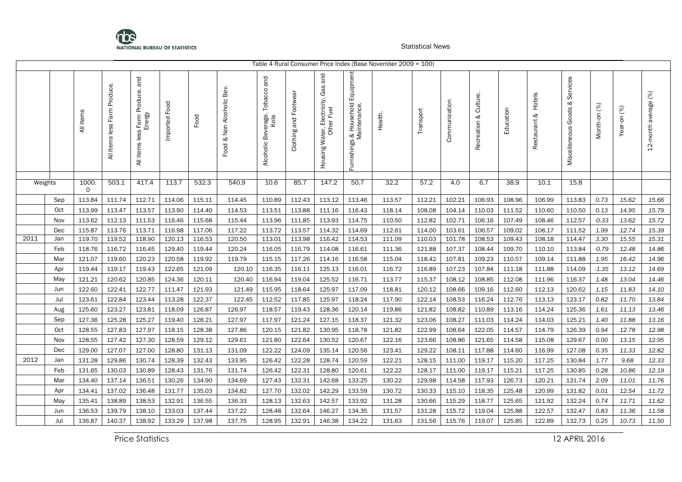

|         |            |                  |                                    |                                            |                  |                  |                           |                                         |                          |                                                                     |                                                      | Table 4 Rural Consumer Price Index (Base November 2009 = 100) |                  |                  |                             |                  |                           |                                         |                 |                |                      |
|---------|------------|------------------|------------------------------------|--------------------------------------------|------------------|------------------|---------------------------|-----------------------------------------|--------------------------|---------------------------------------------------------------------|------------------------------------------------------|---------------------------------------------------------------|------------------|------------------|-----------------------------|------------------|---------------------------|-----------------------------------------|-----------------|----------------|----------------------|
|         |            | All Items        | Produce.<br>Farm<br>All Items less | All Items less Farm Produce. and<br>Energy | Imported Food    | Food             | Food & Non Alcoholic Bev. | Alcoholic Beverage. Tobacco and<br>Kola | and Footwear<br>Clothing | and<br>, Electricity. Gas a<br>ner Fuel<br>Housing Water, E<br>Othe | & Household Equipment<br>Maintenance.<br>Furnishings | Health.                                                       | Transport        | Communication    | Culture.<br>ಳ<br>Recreation | Education        | Hotels<br>ళ<br>Restaurant | Services<br>ళ<br>Goods<br>Miscellaneous | Month-on (%)    | Year-on (%)    | 12-month average (%) |
| Weights |            | 1000.            | 503.1                              | 417.4                                      | 113.7            | 532.3            | 540.9                     | 10.6                                    | 85.7                     | 147.2                                                               | 50.7                                                 | 32.2                                                          | 57.2             | 4.0              | 6.7                         | 38.9             | 10.1                      | 15.8                                    |                 |                |                      |
|         |            | 0                |                                    |                                            |                  |                  |                           |                                         |                          |                                                                     |                                                      |                                                               |                  |                  |                             |                  |                           |                                         |                 |                |                      |
|         | Sep        | 113.84           | 111.74                             | 112.71                                     | 114.06           | 115.11           | 114.45                    | 110.89                                  | 112.43                   | 113.12                                                              | 113.46                                               | 113.57                                                        | 112.21           | 102.21           | 106.93                      | 108.96           | 106.99                    | 113.83                                  | 0.73            | 15.62          | 15.66                |
|         | Oct        | 113.99           | 113.47                             | 113.57                                     | 113.90           | 114.40           | 114.53                    | 113.51                                  | 113.88                   | 111.16                                                              | 116.43                                               | 118.14                                                        | 108.08           | 104.14           | 110.03                      | 111.52           | 110.60                    | 110.50                                  | 0.13            | 14.95          | 15.79                |
|         | Nov        | 113.62           | 112.13                             | 111.53                                     | 116.46           | 115.68           | 115.44                    | 113.96                                  | 111.85                   | 113.93                                                              | 114.75                                               | 110.50                                                        | 112.82           | 102.71           | 106.16                      | 107.49           | 108.46                    | 112.57                                  | $-0.33$         | 13.62          | 15.72                |
|         | Dec        | 115.87           | 113.76                             | 113.71                                     | 116.98           | 117.06           | 117.22                    | 113.72                                  | 113.57                   | 114.32                                                              | 114.69                                               | 112.61                                                        | 114.00           | 103.61           | 106.57                      | 109.02           | 108.17                    | 111.52                                  | 1.99            | 12.74          | 15.39                |
| 2011    | Jan        | 119.70           | 119.52                             | 118.90                                     | 120.13           | 116.53           | 120.50                    | 113.01                                  | 113.98                   | 116.42                                                              | 114.53                                               | 111.09                                                        | 110.03           | 101.78           | 108.53                      | 109.43           | 108.18                    | 114.47                                  | 3.30            | 15.55          | 15.31                |
|         | Feb        | 118.76           | 116.72                             | 116.45                                     | 129.40           | 119.44           | 120.24                    | 116.05                                  | 116.79                   | 114.08                                                              | 116.61                                               | 111.36                                                        | 121.88           | 107.37           | 108.44                      | 109.70           | 110.10                    | 113.84                                  | $-0.79$         | 12.48          | 14.86                |
|         | Mar<br>Apr | 121.07<br>119.44 | 119.60<br>119.17                   | 120.23<br>119.43                           | 120.58<br>122.65 | 119.92<br>121.09 | 119.79<br>120.10          | 115.15<br>116.35                        | 117.26<br>116.11         | 114.16<br>125.13                                                    | 116.58<br>116.01                                     | 115.04<br>116.72                                              | 118.42<br>116.89 | 107.81<br>107.23 | 109.23<br>107.84            | 110.57<br>111.18 | 109.14<br>111.88          | 111.88<br>114.09                        | 1.95<br>$-1.35$ | 16.42<br>13.12 | 14.96<br>14.69       |
|         | May        | 121.21           | 120.62                             | 120.85                                     | 124.36           | 120.11           | 120.40                    | 116.94                                  | 119.04                   | 125.52                                                              | 116.71                                               | 113.77                                                        | 115.37           | 108.12           | 108.85                      | 112.08           | 111.96                    | 116.37                                  | 1.48            | 13.04          | 14.46                |
|         | Jun        | 122.60           | 122.41                             | 122.77                                     | 111.47           | 121.93           | 121.49                    | 115.95                                  | 118.64                   | 125.97                                                              | 117.09                                               | 118.81                                                        | 120.12           | 108.66           | 109.16                      | 112.60           | 112.13                    | 120.62                                  | 1.15            | 11.83          | 14.10                |
|         | Jul        | 123.61           | 122.84                             | 123.44                                     | 113.28           | 122.37           | 122.45                    | 112.52                                  | 117.85                   | 125.97                                                              | 118.24                                               | 117.90                                                        | 122.14           | 108.53           | 116.24                      | 112.76           | 113.13                    | 123.17                                  | 0.82            | 11.70          | 13.84                |
|         | Aug        | 125.60           | 123.27                             | 123.81                                     | 118.09           | 126.87           | 126.97                    | 118.57                                  | 119.43                   | 128.36                                                              | 120.14                                               | 119.86                                                        | 121.82           | 108.82           | 110.89                      | 113.16           | 114.24                    | 125.36                                  | 1.61            | 11.13          | 13.46                |
|         | Sep        | 127.36           | 125.28                             | 125.27                                     | 119.40           | 128.21           | 127.97                    | 117.97                                  | 121.24                   | 127.15                                                              | 118.37                                               | 121.32                                                        | 123.06           | 108.27           | 111.03                      | 114.24           | 114.03                    | 125.21                                  | 1.40            | 11.88          | 13.16                |
|         | Oct        | 128.55           | 127.83                             | 127.97                                     | 118.15           | 128.38           | 127.86                    | 120.15                                  | 121.82                   | 130.95                                                              | 118.78                                               | 121.82                                                        | 122.99           | 108.64           | 122.05                      | 114.57           | 114.79                    | 126.39                                  | 0.94            | 12.78          | 12.98                |
|         | Nov        | 128.55           | 127.42                             | 127.30                                     | 128.59           | 129.12           | 129.61                    | 121.80                                  | 122.64                   | 130.52                                                              | 120.67                                               | 122.16                                                        | 123.66           | 108.86           | 121.65                      | 114.58           | 115.08                    | 129.67                                  | 0.00            | 13.15          | 12.95                |
|         | Dec        | 129.00           | 127.07                             | 127.00                                     | 128.80           | 131.13           | 131.09                    | 122.22                                  | 124.09                   | 135.14                                                              | 120.56                                               | 123.41                                                        | 129.22           | 108.11           | 117.88                      | 114.60           | 116.99                    | 127.08                                  | 0.35            | 11.33          | 12.82                |
| 2012    | Jan        | 131.28           | 129.86                             | 130.74                                     | 128.39           | 132.43           | 133.95                    | 126.42                                  | 122.28                   | 128.74                                                              | 120.59                                               | 122.21                                                        | 128.15           | 111.00           | 119.17                      | 115.20           | 117.25                    | 130.84                                  | 1.77            | 9.68           | 12.33                |
|         | Feb        | 131.65           | 130.03                             | 130.89                                     | 128.43           | 131.76           | 131.74                    | 126.42                                  | 122.31                   | 128.80                                                              | 120.61                                               | 122.22                                                        | 128.17           | 111.00           | 119.17                      | 115.21           | 117.25                    | 130.85                                  | 0.28            | 10.86          | 12.19                |
|         | Mar        | 134.40           | 137.14                             | 136.51                                     | 130.26           | 134.90           | 134.69                    | 127.43                                  | 132.31                   | 142.68                                                              | 133.25                                               | 130.22                                                        | 129.98           | 114.58           | 117.93                      | 126.73           | 120.21                    | 131.74                                  | 2.09            | 11.01          | 11.76                |
|         | Apr        | 134.41           | 137.02                             | 136.48                                     | 131.77           | 135.03           | 134.82                    | 127.70                                  | 132.02                   | 142.29                                                              | 133.59                                               | 130.72                                                        | 130.33           | 115.10           | 118.35                      | 125.48           | 120.99                    | 131.82                                  | 0.01            | 12.54          | 11.72                |
|         | May        | 135.41           | 138.89                             | 138.53                                     | 132.91           | 136.55           | 136.33                    | 128.13                                  | 132.63                   | 142.57                                                              | 133.92                                               | 131.28                                                        | 130.66           | 115.29           | 118.77                      | 125.65           | 121.92                    | 132.24                                  | 0.74            | 11.71          | 11.62                |
|         | Jun        | 136.53           | 139.79                             | 138.10                                     | 133.03           | 137.44           | 137.22                    | 128.48                                  | 132.64                   | 146.27                                                              | 134.35                                               | 131.57                                                        | 131.28           | 115.72           | 119.04                      | 125.88           | 122.57                    | 132.47                                  | 0.83            | 11.36          | 11.58                |
|         | Jul        | 136.87           | 140.37                             | 138.92                                     | 133.29           | 137.98           | 137.75                    | 128.95                                  | 132.91                   | 146.38                                                              | 134.22                                               | 131.63                                                        | 131.56           | 115.76           | 119.07                      | 125.85           | 122.89                    | 132.73                                  | 0.25            | 10.73          | 11.50                |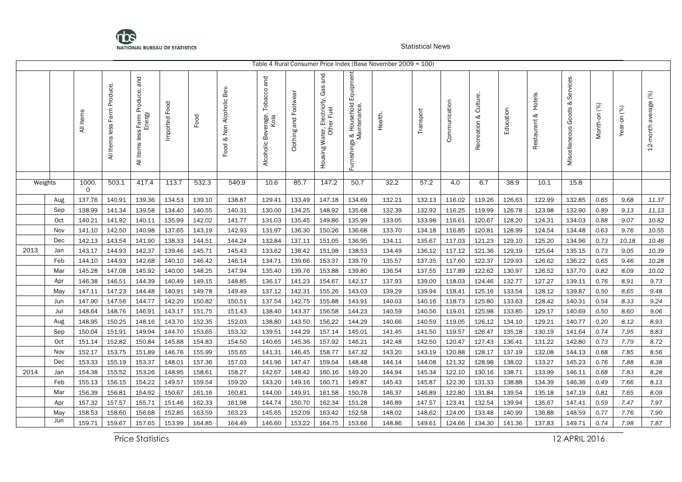

|         |     |           |                                    |                                               |               |        |                              |                                         |                       |                                                      |                                                        | Table 4 Rural Consumer Price Index (Base November 2009 = 100) |           |               |                             |           |                           |                                   |              |             |                      |
|---------|-----|-----------|------------------------------------|-----------------------------------------------|---------------|--------|------------------------------|-----------------------------------------|-----------------------|------------------------------------------------------|--------------------------------------------------------|---------------------------------------------------------------|-----------|---------------|-----------------------------|-----------|---------------------------|-----------------------------------|--------------|-------------|----------------------|
|         |     | All Items | Produce.<br>Farm<br>All Items less | Farm Produce. and<br>Energy<br>All Items less | Imported Food | Food   | & Non Alcoholic Bev.<br>Food | Alcoholic Beverage. Tobacco and<br>Kola | Clothing and Footwear | and<br>Housing Water, Electricity. Gas<br>Other Fuel | . & Household Equipment<br>Maintenance.<br>Furnishings | Health.                                                       | Transport | Communication | Culture.<br>ಳ<br>Recreation | Education | Hotels<br>≈<br>Restaurant | Services<br>Miscellaneous Goods & | Month-on (%) | Year-on (%) | 12-month average (%) |
| Weights |     | 1000.     | 503.1                              | 417.4                                         | 113.7         | 532.3  | 540.9                        | 10.6                                    | 85.7                  | 147.2                                                | 50.7                                                   | 32.2                                                          | 57.2      | 4.0           | 6.7                         | 38.9      | 10.1                      | 15.8                              |              |             |                      |
|         |     | 0         |                                    |                                               |               |        |                              |                                         |                       |                                                      |                                                        |                                                               |           |               |                             |           |                           |                                   |              |             |                      |
|         | Aug | 137.76    | 140.91                             | 139.36                                        | 134.53        | 139.10 | 138.87                       | 129.41                                  | 133.49                | 147.18                                               | 134.69                                                 | 132.21                                                        | 132.13    | 116.02        | 119.26                      | 126.63    | 122.99                    | 132.85                            | 0.65         | 9.68        | 11.37                |
|         | Sep | 138.99    | 141.34                             | 139.58                                        | 134.40        | 140.55 | 140.31                       | 130.00                                  | 134.25                | 148.92                                               | 135.68                                                 | 132.39                                                        | 132.92    | 116.25        | 119.99                      | 126.78    | 123.98                    | 132.90                            | 0.89         | 9.13        | 11.13                |
|         | Oct | 140.21    | 141.92                             | 140.11                                        | 135.99        | 142.02 | 141.77                       | 131.03                                  | 135.45                | 149.86                                               | 135.99                                                 | 133.05                                                        | 133.98    | 116.61        | 120.67                      | 128.20    | 124.31                    | 134.03                            | 0.88         | 9.07        | 10.82                |
|         | Nov | 141.10    | 142.50                             | 140.98                                        | 137.65        | 143.19 | 142.93                       | 131.97                                  | 136.30                | 150.26                                               | 136.68                                                 | 133.70                                                        | 134.18    | 116.85        | 120.81                      | 128.99    | 124.54                    | 134.48                            | 0.63         | 9.76        | 10.55                |
|         | Dec | 142.13    | 143.54                             | 141.90                                        | 138.33        | 144.51 | 144.24                       | 132.84                                  | 137.11                | 151.05                                               | 136.95                                                 | 134.11                                                        | 135.67    | 117.03        | 121.23                      | 129.10    | 125.20                    | 134.96                            | 0.73         | 10.18       | 10.46                |
| 2013    | Jan | 143.17    | 144.93                             | 142.37                                        | 139.46        | 145.71 | 145.43                       | 133.62                                  | 138.42                | 151.98                                               | 138.53                                                 | 134.49                                                        | 136.12    | 117.12        | 121.36                      | 129.19    | 125.64                    | 135.15                            | 0.73         | 9.05        | 10.39                |
|         | Feb | 144.10    | 144.93                             | 142.68                                        | 140.10        | 146.42 | 146.14                       | 134.71                                  | 139.66                | 153.37                                               | 139.70                                                 | 135.57                                                        | 137.35    | 117.60        | 122.37                      | 129.93    | 126.62                    | 136.22                            | 0.65         | 9.46        | 10.28                |
|         | Mar | 145.28    | 147.08                             | 145.92                                        | 140.00        | 148.25 | 147.94                       | 135.40                                  | 139.76                | 153.88                                               | 139.80                                                 | 136.54                                                        | 137.55    | 117.89        | 122.62                      | 130.97    | 126.52                    | 137.70                            | 0.82         | 8.09        | 10.02                |
|         | Apr | 146.38    | 146.51                             | 144.39                                        | 140.49        | 149.15 | 148.85                       | 136.17                                  | 141.23                | 154.67                                               | 142.17                                                 | 137.93                                                        | 139.00    | 118.03        | 124.46                      | 132.77    | 127.27                    | 139.11                            | 0.76         | 8.91        | 9.73                 |
|         | May | 147.11    | 147.23                             | 144.48                                        | 140.91        | 149.78 | 149.49                       | 137.12                                  | 142.31                | 155.26                                               | 143.03                                                 | 139.29                                                        | 139.94    | 118.41        | 125.16                      | 133.54    | 128.12                    | 139.87                            | 0.50         | 8.65        | 9.48                 |
|         | Jun | 147.90    | 147.56                             | 144.77                                        | 142.20        | 150.82 | 150.51                       | 137.54                                  | 142.75                | 155.88                                               | 143.91                                                 | 140.03                                                        | 140.16    | 118.73        | 125.80                      | 133.63    | 128.42                    | 140.31                            | 0.54         | 8.33        | 9.24                 |
|         | Jul | 148.64    | 148.76                             | 146.91                                        | 143.17        | 151.75 | 151.43                       | 138.40                                  | 143.37                | 156.58                                               | 144.23                                                 | 140.59                                                        | 140.56    | 119.01        | 125.98                      | 133.85    | 129.17                    | 140.69                            | 0.50         | 8.60        | 9.06                 |
|         | Aug | 148.95    | 150.25                             | 148.16                                        | 143.70        | 152.35 | 152.03                       | 138.80                                  | 143.50                | 156.22                                               | 144.29                                                 | 140.66                                                        | 140.59    | 119.05        | 126.12                      | 134.10    | 129.21                    | 140.77                            | 0.20         | 8.12        | 8.93                 |
|         | Sep | 150.04    | 151.91                             | 149.94                                        | 144.70        | 153.65 | 153.32                       | 139.51                                  | 144.29                | 157.14                                               | 145.01                                                 | 141.45                                                        | 141.50    | 119.57        | 126.47                      | 135.18    | 130.19                    | 141.64                            | 0.74         | 7.95        | 8.83                 |
|         | Oct | 151.14    | 152.82                             | 150.84                                        | 145.88        | 154.83 | 154.50                       | 140.65                                  | 145.36                | 157.92                                               | 146.21                                                 | 142.48                                                        | 142.50    | 120.47        | 127.43                      | 136.41    | 131.22                    | 142.80                            | 0.73         | 7.79        | 8.72                 |
|         | Nov | 152.17    | 153.75                             | 151.89                                        | 146.76        | 155.99 | 155.65                       | 141.31                                  | 146.45                | 158.77                                               | 147.32                                                 | 143.20                                                        | 143.19    | 120.88        | 128.17                      | 137.19    | 132.08                    | 144.13                            | 0.68         | 7.85        | 8.56                 |
|         | Dec | 153.33    | 155.19                             | 153.37                                        | 148.01        | 157.36 | 157.03                       | 141.96                                  | 147.47                | 159.54                                               | 148.48                                                 | 144.14                                                        | 144.08    | 121.32        | 128.98                      | 138.02    | 133.27                    | 145.23                            | 0.76         | 7.88        | 8.38                 |
| 2014    | Jan | 154.38    | 155.52                             | 153.26                                        | 148.95        | 158.61 | 158.27                       | 142.67                                  | 148.42                | 160.16                                               | 149.20                                                 | 144.94                                                        | 145.34    | 122.10        | 130.16                      | 138.71    | 133.99                    | 146.11                            | 0.68         | 7.83        | 8.28                 |
|         | Feb | 155.13    | 156.15                             | 154.22                                        | 149.57        | 159.54 | 159.20                       | 143.20                                  | 149.16                | 160.71                                               | 149.87                                                 | 145.43                                                        | 145.87    | 122.30        | 131.33                      | 138.88    | 134.39                    | 146.36                            | 0.49         | 7.66        | 8.13                 |
|         | Mar | 156.39    | 156.81                             | 154.92                                        | 150.67        | 161.16 | 160.81                       | 144.00                                  | 149.91                | 161.58                                               | 150.78                                                 | 146.37                                                        | 146.89    | 122.80        | 131.84                      | 139.54    | 135.18                    | 147.19                            | 0.81         | 7.65        | 8.09                 |
|         | Apr | 157.32    | 157.57                             | 155.71                                        | 151.46        | 162.33 | 161.98                       | 144.74                                  | 150.70                | 162.34                                               | 151.28                                                 | 146.89                                                        | 147.57    | 123.41        | 132.54                      | 139.94    | 135.67                    | 147.41                            | 0.59         | 7.47        | 7.97                 |
|         | May | 158.53    | 158.60                             | 156.68                                        | 152.85        | 163.59 | 163.23                       | 145.65                                  | 152.09                | 163.42                                               | 152.58                                                 | 148.02                                                        | 148.62    | 124.00        | 133.48                      | 140.99    | 136.88                    | 148.59                            | 0.77         | 7.76        | 7.90                 |
|         | Jun | 159.71    | 159.67                             | 157.65                                        | 153.99        | 164.85 | 164.49                       | 146.60                                  | 153.22                | 164.75                                               | 153.66                                                 | 148.86                                                        | 149.61    | 124.66        | 134.30                      | 141.36    | 137.83                    | 149.71                            | 0.74         | 7.98        | 7.87                 |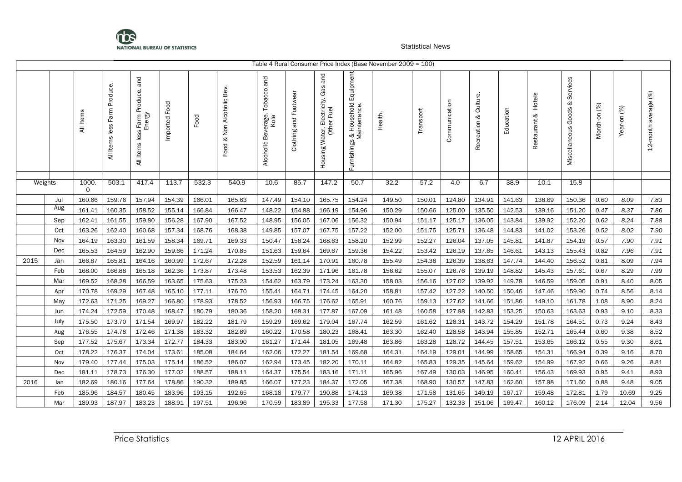

|         |      |            |                                       |                                               |               |        |                              |                                            |                          |                                                                    |                                                                        | Table 4 Rural Consumer Price Index (Base November 2009 = 100) |           |               |                          |           |                        |                                   |              |             |                      |
|---------|------|------------|---------------------------------------|-----------------------------------------------|---------------|--------|------------------------------|--------------------------------------------|--------------------------|--------------------------------------------------------------------|------------------------------------------------------------------------|---------------------------------------------------------------|-----------|---------------|--------------------------|-----------|------------------------|-----------------------------------|--------------|-------------|----------------------|
|         |      | All Items  | Produce.<br>Farm<br>less<br>All Items | Farm Produce. and<br>Energy<br>All Items less | Imported Food | Food   | & Non Alcoholic Bev.<br>Food | and<br>Alcoholic Beverage. Tobacco<br>Kola | and Footwear<br>Clothing | and<br>Gas<br>Electricity.<br>Ier Fuel<br>Housing Water, E<br>Othe | Equipment<br>Household<br>s & Household<br>Maintenance.<br>Furnishings | Health.                                                       | Transport | Communication | Culture.<br>Recreation & | Education | Hotels<br>Restaurant & | Services<br>Miscellaneous Goods & | Month-on (%) | Year-on (%) | 12-month average (%) |
|         |      |            |                                       |                                               |               |        |                              |                                            |                          |                                                                    |                                                                        |                                                               |           |               |                          |           |                        |                                   |              |             |                      |
| Weights |      | 1000.<br>0 | 503.1                                 | 417.4                                         | 113.7         | 532.3  | 540.9                        | 10.6                                       | 85.7                     | 147.2                                                              | 50.7                                                                   | 32.2                                                          | 57.2      | 4.0           | 6.7                      | 38.9      | 10.1                   | 15.8                              |              |             |                      |
|         | Jul  | 160.66     | 159.76                                | 157.94                                        | 154.39        | 166.01 | 165.63                       | 147.49                                     | 154.10                   | 165.75                                                             | 154.24                                                                 | 149.50                                                        | 150.01    | 124.80        | 134.91                   | 141.63    | 138.69                 | 150.36                            | 0.60         | 8.09        | 7.83                 |
|         | Aug  | 161.41     | 160.35                                | 158.52                                        | 155.14        | 166.84 | 166.47                       | 148.22                                     | 154.88                   | 166.19                                                             | 154.96                                                                 | 150.29                                                        | 150.66    | 125.00        | 135.50                   | 142.53    | 139.16                 | 151.20                            | 0.47         | 8.37        | 7.86                 |
|         | Sep  | 162.41     | 161.55                                | 159.80                                        | 156.28        | 167.90 | 167.52                       | 148.95                                     | 156.05                   | 167.06                                                             | 156.32                                                                 | 150.94                                                        | 151.17    | 125.17        | 136.05                   | 143.84    | 139.92                 | 152.20                            | 0.62         | 8.24        | 7.88                 |
|         | Oct  | 163.26     | 162.40                                | 160.68                                        | 157.34        | 168.76 | 168.38                       | 149.85                                     | 157.07                   | 167.75                                                             | 157.22                                                                 | 152.00                                                        | 151.75    | 125.71        | 136.48                   | 144.83    | 141.02                 | 153.26                            | 0.52         | 8.02        | 7.90                 |
|         | Nov  | 164.19     | 163.30                                | 161.59                                        | 158.34        | 169.71 | 169.33                       | 150.47                                     | 158.24                   | 168.63                                                             | 158.20                                                                 | 152.99                                                        | 152.27    | 126.04        | 137.05                   | 145.81    | 141.87                 | 154.19                            | 0.57         | 7.90        | 7.91                 |
|         | Dec  | 165.53     | 164.59                                | 162.90                                        | 159.66        | 171.24 | 170.85                       | 151.63                                     | 159.64                   | 169.67                                                             | 159.36                                                                 | 154.22                                                        | 153.42    | 126.19        | 137.65                   | 146.61    | 143.13                 | 155.43                            | 0.82         | 7.96        | 7.91                 |
| 2015    | Jan  | 166.87     | 165.81                                | 164.16                                        | 160.99        | 172.67 | 172.28                       | 152.59                                     | 161.14                   | 170.91                                                             | 160.78                                                                 | 155.49                                                        | 154.38    | 126.39        | 138.63                   | 147.74    | 144.40                 | 156.52                            | 0.81         | 8.09        | 7.94                 |
|         | Feb  | 168.00     | 166.88                                | 165.18                                        | 162.36        | 173.87 | 173.48                       | 153.53                                     | 162.39                   | 171.96                                                             | 161.78                                                                 | 156.62                                                        | 155.07    | 126.76        | 139.19                   | 148.82    | 145.43                 | 157.61                            | 0.67         | 8.29        | 7.99                 |
|         | Mar  | 169.52     | 168.28                                | 166.59                                        | 163.65        | 175.63 | 175.23                       | 154.62                                     | 163.79                   | 173.24                                                             | 163.30                                                                 | 158.03                                                        | 156.16    | 127.02        | 139.92                   | 149.78    | 146.59                 | 159.05                            | 0.91         | 8.40        | 8.05                 |
|         | Apr  | 170.78     | 169.29                                | 167.48                                        | 165.10        | 177.11 | 176.70                       | 155.41                                     | 164.71                   | 174.45                                                             | 164.20                                                                 | 158.81                                                        | 157.42    | 127.22        | 140.50                   | 150.46    | 147.46                 | 159.90                            | 0.74         | 8.56        | 8.14                 |
|         | May  | 172.63     | 171.25                                | 169.27                                        | 166.80        | 178.93 | 178.52                       | 156.93                                     | 166.75                   | 176.62                                                             | 165.91                                                                 | 160.76                                                        | 159.13    | 127.62        | 141.66                   | 151.86    | 149.10                 | 161.78                            | 1.08         | 8.90        | 8.24                 |
|         | Jun  | 174.24     | 172.59                                | 170.48                                        | 168.47        | 180.79 | 180.36                       | 158.20                                     | 168.31                   | 177.87                                                             | 167.09                                                                 | 161.48                                                        | 160.58    | 127.98        | 142.83                   | 153.25    | 150.63                 | 163.63                            | 0.93         | 9.10        | 8.33                 |
|         | July | 175.50     | 173.70                                | 171.54                                        | 169.97        | 182.22 | 181.79                       | 159.29                                     | 169.62                   | 179.04                                                             | 167.74                                                                 | 162.59                                                        | 161.62    | 128.31        | 143.72                   | 154.29    | 151.78                 | 164.51                            | 0.73         | 9.24        | 8.43                 |
|         | Aug  | 176.55     | 174.78                                | 172.46                                        | 171.38        | 183.32 | 182.89                       | 160.22                                     | 170.58                   | 180.23                                                             | 168.41                                                                 | 163.30                                                        | 162.40    | 128.58        | 143.94                   | 155.85    | 152.71                 | 165.44                            | 0.60         | 9.38        | 8.52                 |
|         | Sep  | 177.52     | 175.67                                | 173.34                                        | 172.77        | 184.33 | 183.90                       | 161.27                                     | 171.44                   | 181.05                                                             | 169.48                                                                 | 163.86                                                        | 163.28    | 128.72        | 144.45                   | 157.51    | 153.65                 | 166.12                            | 0.55         | 9.30        | 8.61                 |
|         | Oct  | 178.22     | 176.37                                | 174.04                                        | 173.61        | 185.08 | 184.64                       | 162.06                                     | 172.27                   | 181.54                                                             | 169.68                                                                 | 164.31                                                        | 164.19    | 129.01        | 144.99                   | 158.65    | 154.31                 | 166.94                            | 0.39         | 9.16        | 8.70                 |
|         | Nov  | 179.40     | 177.44                                | 175.03                                        | 175.14        | 186.52 | 186.07                       | 162.94                                     | 173.45                   | 182.20                                                             | 170.11                                                                 | 164.82                                                        | 165.83    | 129.35        | 145.64                   | 159.62    | 154.99                 | 167.92                            | 0.66         | 9.26        | 8.81                 |
|         | Dec  | 181.11     | 178.73                                | 176.30                                        | 177.02        | 188.57 | 188.11                       | 164.37                                     | 175.54                   | 183.16                                                             | 171.11                                                                 | 165.96                                                        | 167.49    | 130.03        | 146.95                   | 160.41    | 156.43                 | 169.93                            | 0.95         | 9.41        | 8.93                 |
| 2016    | Jan  | 182.69     | 180.16                                | 177.64                                        | 178.86        | 190.32 | 189.85                       | 166.07                                     | 177.23                   | 184.37                                                             | 172.05                                                                 | 167.38                                                        | 168.90    | 130.57        | 147.83                   | 162.60    | 157.98                 | 171.60                            | 0.88         | 9.48        | 9.05                 |
|         | Feb  | 185.96     | 184.57                                | 180.45                                        | 183.96        | 193.15 | 192.65                       | 168.18                                     | 179.77                   | 190.88                                                             | 174.13                                                                 | 169.38                                                        | 171.58    | 131.65        | 149.19                   | 167.17    | 159.48                 | 172.81                            | 1.79         | 10.69       | 9.25                 |
|         | Mar  | 189.93     | 187.97                                | 183.23                                        | 188.91        | 197.51 | 196.96                       | 170.59                                     | 183.89                   | 195.33                                                             | 177.58                                                                 | 171.30                                                        | 175.27    | 132.33        | 151.06                   | 169.47    | 160.12                 | 176.09                            | 2.14         | 12.04       | 9.56                 |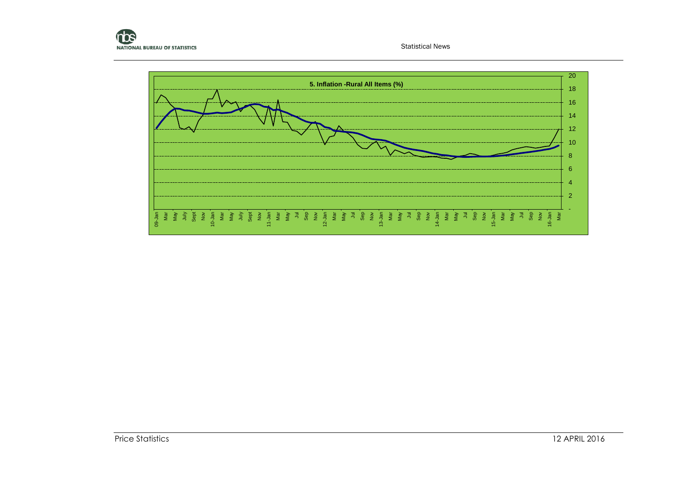

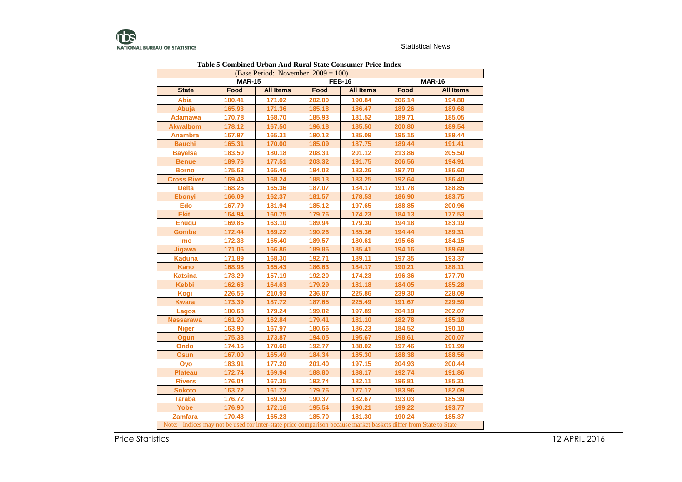

|                                                                                                                  |               | <b>Table 5 Combined Urban And Rural State Consumer Price Index</b> |        |                  |        |                  |
|------------------------------------------------------------------------------------------------------------------|---------------|--------------------------------------------------------------------|--------|------------------|--------|------------------|
|                                                                                                                  |               | (Base Period: November $2009 = 100$ )                              |        |                  |        |                  |
|                                                                                                                  | <b>MAR-15</b> |                                                                    |        | <b>FEB-16</b>    |        | <b>MAR-16</b>    |
| <b>State</b>                                                                                                     | Food          | <b>All Items</b>                                                   | Food   | <b>All Items</b> | Food   | <b>All Items</b> |
| <b>Abia</b>                                                                                                      | 180.41        | 171.02                                                             | 202.00 | 190.84           | 206.14 | 194.80           |
| Abuja                                                                                                            | 165.93        | 171.36                                                             | 185.18 | 186.47           | 189.26 | 189.68           |
| Adamawa                                                                                                          | 170.78        | 168.70                                                             | 185.93 | 181.52           | 189.71 | 185.05           |
| <b>Akwalbom</b>                                                                                                  | 178.12        | 167.50                                                             | 196.18 | 185.50           | 200.80 | 189.54           |
| <b>Anambra</b>                                                                                                   | 167.97        | 165.31                                                             | 190.12 | 185.09           | 195.15 | 189.44           |
| <b>Bauchi</b>                                                                                                    | 165.31        | 170.00                                                             | 185.09 | 187.75           | 189.44 | 191.41           |
| <b>Bayelsa</b>                                                                                                   | 183.50        | 180.18                                                             | 208.31 | 201.12           | 213.86 | 205.50           |
| <b>Benue</b>                                                                                                     | 189.76        | 177.51                                                             | 203.32 | 191.75           | 206.56 | 194.91           |
| <b>Borno</b>                                                                                                     | 175.63        | 165.46                                                             | 194.02 | 183.26           | 197.70 | 186.60           |
| <b>Cross River</b>                                                                                               | 169.43        | 168.24                                                             | 188.13 | 183.25           | 192.64 | 186.40           |
| <b>Delta</b>                                                                                                     | 168.25        | 165.36                                                             | 187.07 | 184.17           | 191.78 | 188.85           |
| <b>Ebonyi</b>                                                                                                    | 166.09        | 162.37                                                             | 181.57 | 178.53           | 186.90 | 183.75           |
| <b>Edo</b>                                                                                                       | 167.79        | 181.94                                                             | 185.12 | 197.65           | 188.85 | 200.96           |
| <b>Ekiti</b>                                                                                                     | 164.94        | 160.75                                                             | 179.76 | 174.23           | 184.13 | 177.53           |
| <b>Enugu</b>                                                                                                     | 169.85        | 163.10                                                             | 189.94 | 179.30           | 194.18 | 183.19           |
| <b>Gombe</b>                                                                                                     | 172.44        | 169.22                                                             | 190.26 | 185.36           | 194.44 | 189.31           |
| <b>Imo</b>                                                                                                       | 172.33        | 165.40                                                             | 189.57 | 180.61           | 195.66 | 184.15           |
| Jigawa                                                                                                           | 171.06        | 166.86                                                             | 189.86 | 185.41           | 194.16 | 189.68           |
| <b>Kaduna</b>                                                                                                    | 171.89        | 168.30                                                             | 192.71 | 189.11           | 197.35 | 193.37           |
| <b>Kano</b>                                                                                                      | 168.98        | 165.43                                                             | 186.63 | 184.17           | 190.21 | 188.11           |
| <b>Katsina</b>                                                                                                   | 173.29        | 157.19                                                             | 192.20 | 174.23           | 196.36 | 177.70           |
| <b>Kebbi</b>                                                                                                     | 162.63        | 164.63                                                             | 179.29 | 181.18           | 184.05 | 185.28           |
| Kogi                                                                                                             | 226.56        | 210.93                                                             | 236.87 | 225.86           | 239.30 | 228.09           |
| <b>Kwara</b>                                                                                                     | 173.39        | 187.72                                                             | 187.65 | 225.49           | 191.67 | 229.59           |
| Lagos                                                                                                            | 180.68        | 179.24                                                             | 199.02 | 197.89           | 204.19 | 202.07           |
| <b>Nassarawa</b>                                                                                                 | 161.20        | 162.84                                                             | 179.41 | 181.10           | 182.78 | 185.18           |
| <b>Niger</b>                                                                                                     | 163.90        | 167.97                                                             | 180.66 | 186.23           | 184.52 | 190.10           |
| Ogun                                                                                                             | 175.33        | 173.87                                                             | 194.05 | 195.67           | 198.61 | 200.07           |
| Ondo                                                                                                             | 174.16        | 170.68                                                             | 192.77 | 188.02           | 197.46 | 191.99           |
| <b>Osun</b>                                                                                                      | 167.00        | 165.49                                                             | 184.34 | 185.30           | 188.38 | 188.56           |
| Oyo                                                                                                              | 183.91        | 177.20                                                             | 201.40 | 197.15           | 204.93 | 200.44           |
| <b>Plateau</b>                                                                                                   | 172.74        | 169.94                                                             | 188.80 | 188.17           | 192.74 | 191.86           |
| <b>Rivers</b>                                                                                                    | 176.04        | 167.35                                                             | 192.74 | 182.11           | 196.81 | 185.31           |
| <b>Sokoto</b>                                                                                                    | 163.72        | 161.73                                                             | 179.76 | 177.17           | 183.96 | 182.09           |
| <b>Taraba</b>                                                                                                    | 176.72        | 169.59                                                             | 190.37 | 182.67           | 193.03 | 185.39           |
| Yobe                                                                                                             | 176.90        | 172.16                                                             | 195.54 | 190.21           | 199.22 | 193.77           |
| Zamfara                                                                                                          | 170.43        | 165.23                                                             | 185.70 | 181.30           | 190.24 | 185.37           |
| Note: Indices may not be used for inter-state price comparison because market baskets differ from State to State |               |                                                                    |        |                  |        |                  |